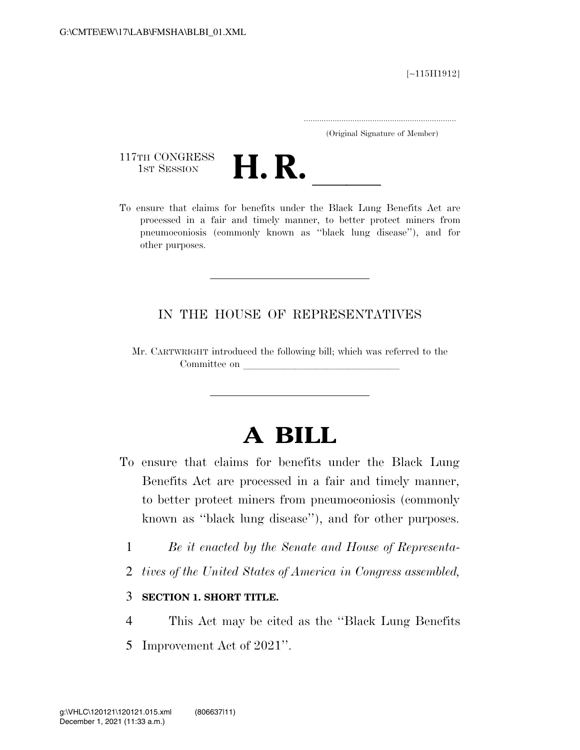[∼115H1912]

.....................................................................

(Original Signature of Member)

117TH CONGRESS<br>1st Session



117TH CONGRESS<br>1st SESSION<br>To ensure that claims for benefits under the Black Lung Benefits Act are processed in a fair and timely manner, to better protect miners from pneumoconiosis (commonly known as ''black lung disease''), and for other purposes.

## IN THE HOUSE OF REPRESENTATIVES

Mr. CARTWRIGHT introduced the following bill; which was referred to the Committee on

# **A BILL**

- To ensure that claims for benefits under the Black Lung Benefits Act are processed in a fair and timely manner, to better protect miners from pneumoconiosis (commonly known as ''black lung disease''), and for other purposes.
	- 1 *Be it enacted by the Senate and House of Representa-*
	- 2 *tives of the United States of America in Congress assembled,*

### 3 **SECTION 1. SHORT TITLE.**

- 4 This Act may be cited as the ''Black Lung Benefits
- 5 Improvement Act of 2021''.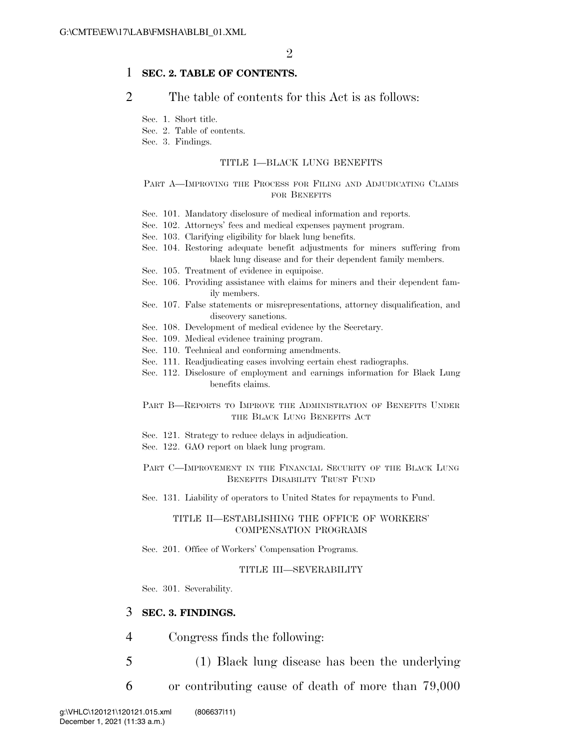### 1 **SEC. 2. TABLE OF CONTENTS.**

### 2 The table of contents for this Act is as follows:

Sec. 1. Short title.

Sec. 2. Table of contents.

Sec. 3. Findings.

#### TITLE I—BLACK LUNG BENEFITS

#### PART A-IMPROVING THE PROCESS FOR FILING AND ADJUDICATING CLAIMS FOR BENEFITS

- Sec. 101. Mandatory disclosure of medical information and reports.
- Sec. 102. Attorneys' fees and medical expenses payment program.
- Sec. 103. Clarifying eligibility for black lung benefits.
- Sec. 104. Restoring adequate benefit adjustments for miners suffering from black lung disease and for their dependent family members.
- Sec. 105. Treatment of evidence in equipoise.
- Sec. 106. Providing assistance with claims for miners and their dependent family members.
- Sec. 107. False statements or misrepresentations, attorney disqualification, and discovery sanctions.
- Sec. 108. Development of medical evidence by the Secretary.
- Sec. 109. Medical evidence training program.
- Sec. 110. Technical and conforming amendments.
- Sec. 111. Readjudicating cases involving certain chest radiographs.
- Sec. 112. Disclosure of employment and earnings information for Black Lung benefits claims.

### PART B—REPORTS TO IMPROVE THE ADMINISTRATION OF BENEFITS UNDER THE BLACK LUNG BENEFITS ACT

- Sec. 121. Strategy to reduce delays in adjudication.
- Sec. 122. GAO report on black lung program.

### PART C-IMPROVEMENT IN THE FINANCIAL SECURITY OF THE BLACK LUNG BENEFITS DISABILITY TRUST FUND

Sec. 131. Liability of operators to United States for repayments to Fund.

#### TITLE II—ESTABLISHING THE OFFICE OF WORKERS' COMPENSATION PROGRAMS

Sec. 201. Office of Workers' Compensation Programs.

#### TITLE III—SEVERABILITY

Sec. 301. Severability.

### 3 **SEC. 3. FINDINGS.**

- 4 Congress finds the following:
- 5 (1) Black lung disease has been the underlying
- 6 or contributing cause of death of more than 79,000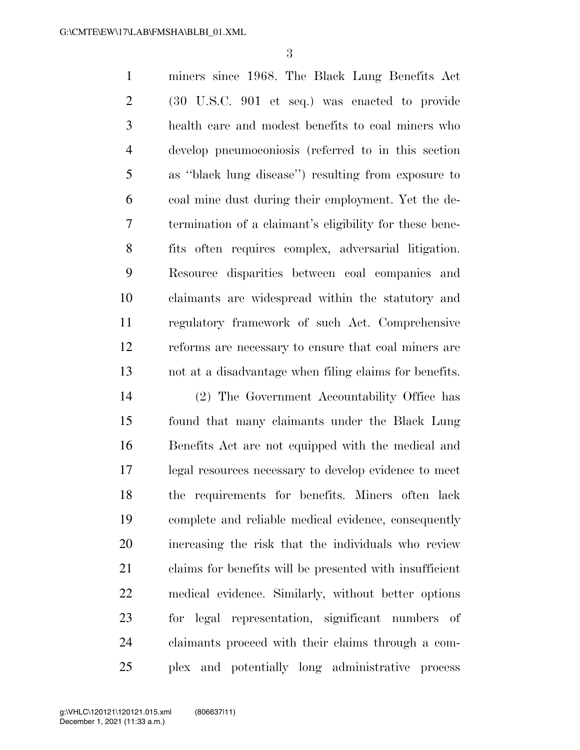miners since 1968. The Black Lung Benefits Act (30 U.S.C. 901 et seq.) was enacted to provide health care and modest benefits to coal miners who develop pneumoconiosis (referred to in this section as ''black lung disease'') resulting from exposure to coal mine dust during their employment. Yet the de- termination of a claimant's eligibility for these bene- fits often requires complex, adversarial litigation. Resource disparities between coal companies and claimants are widespread within the statutory and regulatory framework of such Act. Comprehensive reforms are necessary to ensure that coal miners are not at a disadvantage when filing claims for benefits.

 (2) The Government Accountability Office has found that many claimants under the Black Lung Benefits Act are not equipped with the medical and legal resources necessary to develop evidence to meet the requirements for benefits. Miners often lack complete and reliable medical evidence, consequently increasing the risk that the individuals who review claims for benefits will be presented with insufficient medical evidence. Similarly, without better options for legal representation, significant numbers of claimants proceed with their claims through a com-plex and potentially long administrative process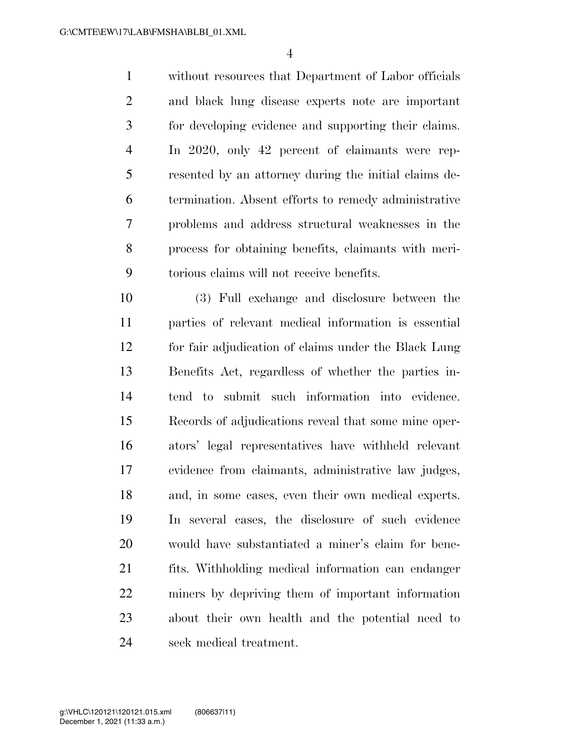without resources that Department of Labor officials and black lung disease experts note are important for developing evidence and supporting their claims. In 2020, only 42 percent of claimants were rep- resented by an attorney during the initial claims de- termination. Absent efforts to remedy administrative problems and address structural weaknesses in the process for obtaining benefits, claimants with meri-torious claims will not receive benefits.

 (3) Full exchange and disclosure between the parties of relevant medical information is essential for fair adjudication of claims under the Black Lung Benefits Act, regardless of whether the parties in- tend to submit such information into evidence. Records of adjudications reveal that some mine oper- ators' legal representatives have withheld relevant evidence from claimants, administrative law judges, and, in some cases, even their own medical experts. In several cases, the disclosure of such evidence would have substantiated a miner's claim for bene- fits. Withholding medical information can endanger miners by depriving them of important information about their own health and the potential need to seek medical treatment.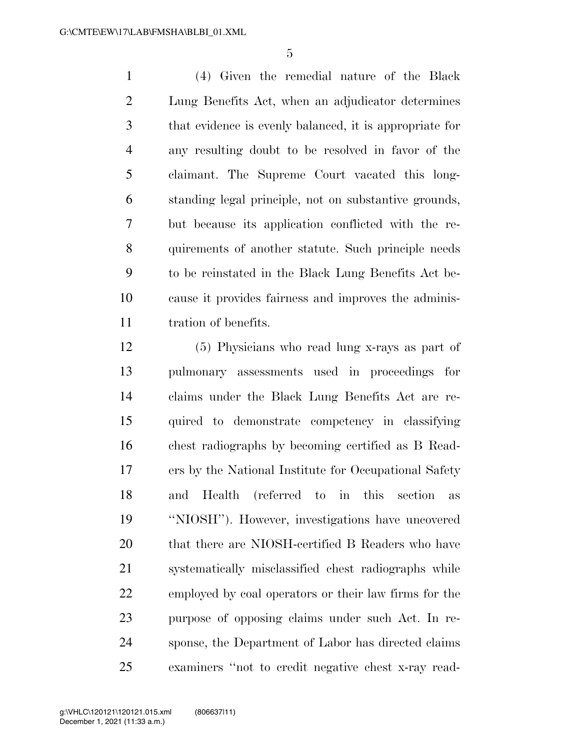(4) Given the remedial nature of the Black Lung Benefits Act, when an adjudicator determines that evidence is evenly balanced, it is appropriate for any resulting doubt to be resolved in favor of the claimant. The Supreme Court vacated this long- standing legal principle, not on substantive grounds, but because its application conflicted with the re- quirements of another statute. Such principle needs to be reinstated in the Black Lung Benefits Act be- cause it provides fairness and improves the adminis-tration of benefits.

 (5) Physicians who read lung x-rays as part of pulmonary assessments used in proceedings for claims under the Black Lung Benefits Act are re- quired to demonstrate competency in classifying chest radiographs by becoming certified as B Read- ers by the National Institute for Occupational Safety and Health (referred to in this section as ''NIOSH''). However, investigations have uncovered that there are NIOSH-certified B Readers who have systematically misclassified chest radiographs while employed by coal operators or their law firms for the purpose of opposing claims under such Act. In re- sponse, the Department of Labor has directed claims examiners ''not to credit negative chest x-ray read-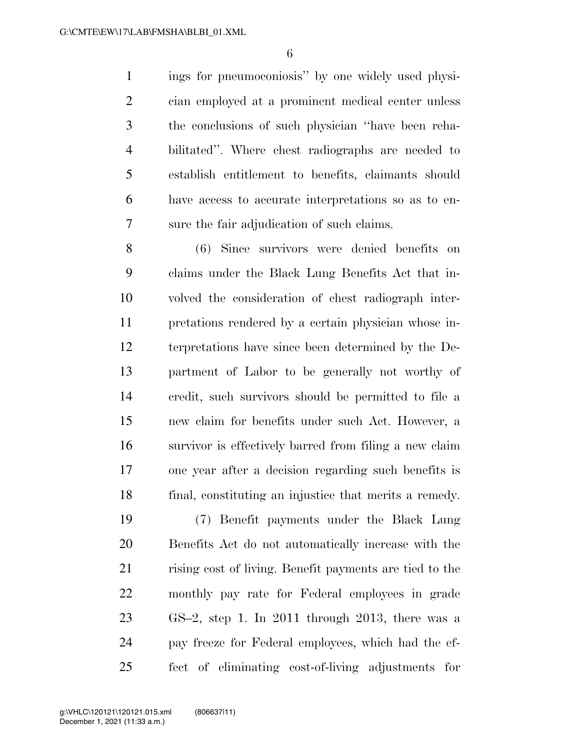ings for pneumoconiosis'' by one widely used physi- cian employed at a prominent medical center unless the conclusions of such physician ''have been reha- bilitated''. Where chest radiographs are needed to establish entitlement to benefits, claimants should have access to accurate interpretations so as to en-sure the fair adjudication of such claims.

 (6) Since survivors were denied benefits on claims under the Black Lung Benefits Act that in- volved the consideration of chest radiograph inter- pretations rendered by a certain physician whose in- terpretations have since been determined by the De- partment of Labor to be generally not worthy of credit, such survivors should be permitted to file a new claim for benefits under such Act. However, a survivor is effectively barred from filing a new claim one year after a decision regarding such benefits is final, constituting an injustice that merits a remedy.

 (7) Benefit payments under the Black Lung Benefits Act do not automatically increase with the rising cost of living. Benefit payments are tied to the monthly pay rate for Federal employees in grade GS–2, step 1. In 2011 through 2013, there was a pay freeze for Federal employees, which had the ef-fect of eliminating cost-of-living adjustments for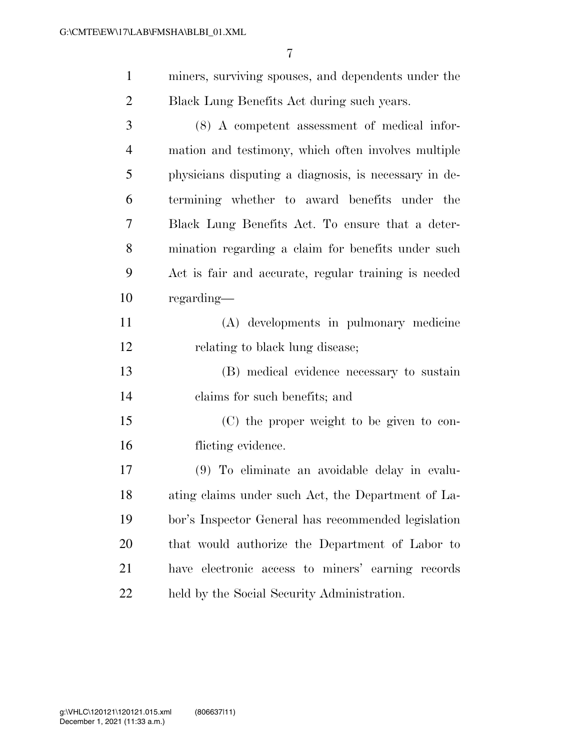| miners, surviving spouses, and dependents under the |
|-----------------------------------------------------|
| Black Lung Benefits Act during such years.          |
|                                                     |

 (8) A competent assessment of medical infor- mation and testimony, which often involves multiple physicians disputing a diagnosis, is necessary in de- termining whether to award benefits under the Black Lung Benefits Act. To ensure that a deter- mination regarding a claim for benefits under such Act is fair and accurate, regular training is needed regarding—

 (A) developments in pulmonary medicine relating to black lung disease;

 (B) medical evidence necessary to sustain claims for such benefits; and

 (C) the proper weight to be given to con-flicting evidence.

 (9) To eliminate an avoidable delay in evalu- ating claims under such Act, the Department of La- bor's Inspector General has recommended legislation that would authorize the Department of Labor to have electronic access to miners' earning records held by the Social Security Administration.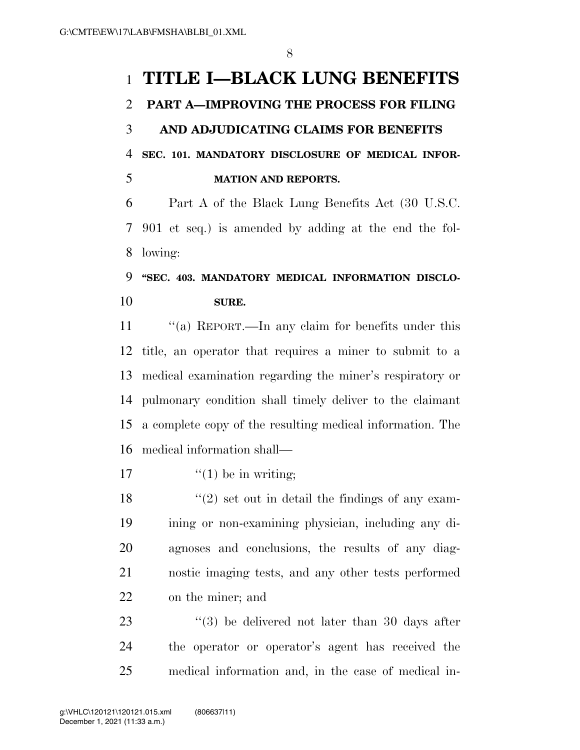# **TITLE I—BLACK LUNG BENEFITS**

### **PART A—IMPROVING THE PROCESS FOR FILING**

 **AND ADJUDICATING CLAIMS FOR BENEFITS SEC. 101. MANDATORY DISCLOSURE OF MEDICAL INFOR-MATION AND REPORTS.** 

 Part A of the Black Lung Benefits Act (30 U.S.C. 901 et seq.) is amended by adding at the end the fol-lowing:

# **''SEC. 403. MANDATORY MEDICAL INFORMATION DISCLO-SURE.**

11 "(a) REPORT.—In any claim for benefits under this title, an operator that requires a miner to submit to a medical examination regarding the miner's respiratory or pulmonary condition shall timely deliver to the claimant a complete copy of the resulting medical information. The medical information shall—

17  $\frac{17}{2}$   $\frac{17}{2}$   $\frac{17}{2}$  be in writing;

 $\langle \cdot (2) \rangle$  set out in detail the findings of any exam- ining or non-examining physician, including any di- agnoses and conclusions, the results of any diag- nostic imaging tests, and any other tests performed on the miner; and

23 ''(3) be delivered not later than 30 days after the operator or operator's agent has received the medical information and, in the case of medical in-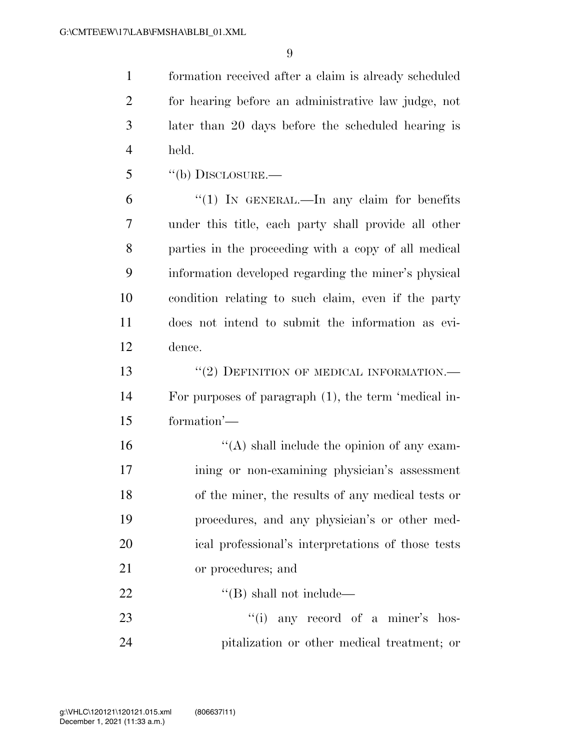formation received after a claim is already scheduled for hearing before an administrative law judge, not later than 20 days before the scheduled hearing is held.

''(b) DISCLOSURE.—

 ''(1) IN GENERAL.—In any claim for benefits under this title, each party shall provide all other parties in the proceeding with a copy of all medical information developed regarding the miner's physical condition relating to such claim, even if the party does not intend to submit the information as evi-dence.

13 "(2) DEFINITION OF MEDICAL INFORMATION.— For purposes of paragraph (1), the term 'medical in-formation'—

 ''(A) shall include the opinion of any exam- ining or non-examining physician's assessment of the miner, the results of any medical tests or procedures, and any physician's or other med- ical professional's interpretations of those tests or procedures; and

22  $\text{``(B) shall not include}\text{—}$ 

23 ''(i) any record of a miner's hos-pitalization or other medical treatment; or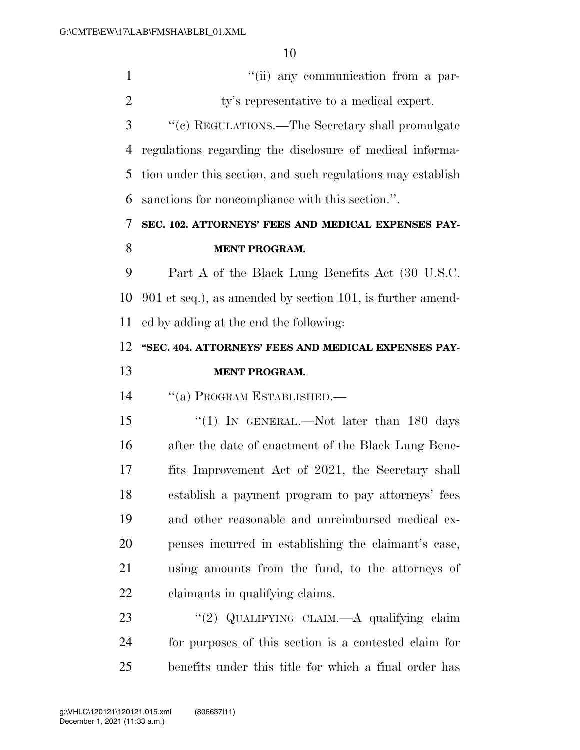| $\mathbf{1}$   | "(ii) any communication from a par-                         |
|----------------|-------------------------------------------------------------|
| $\overline{2}$ | ty's representative to a medical expert.                    |
| 3              | "(c) REGULATIONS.—The Secretary shall promulgate            |
| 4              | regulations regarding the disclosure of medical informa-    |
| 5              | tion under this section, and such regulations may establish |
| 6              | sanctions for noncompliance with this section.".            |
| 7              | SEC. 102. ATTORNEYS' FEES AND MEDICAL EXPENSES PAY-         |
| 8              | <b>MENT PROGRAM.</b>                                        |
| 9              | Part A of the Black Lung Benefits Act (30 U.S.C.            |
| 10             | 901 et seq.), as amended by section 101, is further amend-  |
| 11             | ed by adding at the end the following:                      |
| 12             | "SEC. 404. ATTORNEYS' FEES AND MEDICAL EXPENSES PAY-        |
| 13             | <b>MENT PROGRAM.</b>                                        |
| 14             | "(a) PROGRAM ESTABLISHED.-                                  |
| 15             | "(1) IN GENERAL.—Not later than 180 days                    |
| 16             | after the date of enactment of the Black Lung Bene-         |
| 17             | fits Improvement Act of 2021, the Secretary shall           |
| 18             | establish a payment program to pay attorneys' fees          |
| 19             | and other reasonable and unreimbursed medical ex-           |
| 20             | penses incurred in establishing the claimant's case,        |
| 21             | using amounts from the fund, to the attorneys of            |
| <u>22</u>      | claimants in qualifying claims.                             |
| 23             | "(2) QUALIFYING CLAIM. A qualifying claim                   |
| 24             | for purposes of this section is a contested claim for       |
| 25             | benefits under this title for which a final order has       |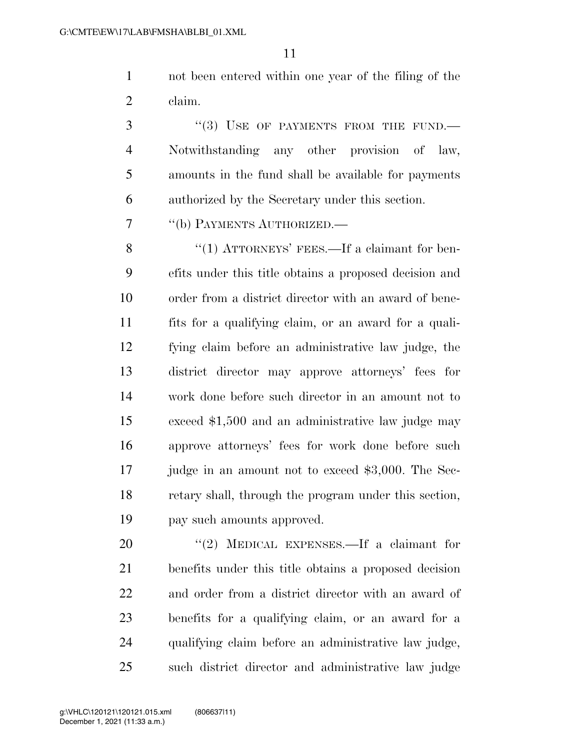not been entered within one year of the filing of the claim.

3 "(3) USE OF PAYMENTS FROM THE FUND.— Notwithstanding any other provision of law, amounts in the fund shall be available for payments authorized by the Secretary under this section.

''(b) PAYMENTS AUTHORIZED.—

8 "(1) ATTORNEYS' FEES.—If a claimant for ben- efits under this title obtains a proposed decision and order from a district director with an award of bene- fits for a qualifying claim, or an award for a quali- fying claim before an administrative law judge, the district director may approve attorneys' fees for work done before such director in an amount not to exceed \$1,500 and an administrative law judge may approve attorneys' fees for work done before such 17 judge in an amount not to exceed \$3,000. The Sec- retary shall, through the program under this section, pay such amounts approved.

20 "(2) MEDICAL EXPENSES.—If a claimant for benefits under this title obtains a proposed decision and order from a district director with an award of benefits for a qualifying claim, or an award for a qualifying claim before an administrative law judge, such district director and administrative law judge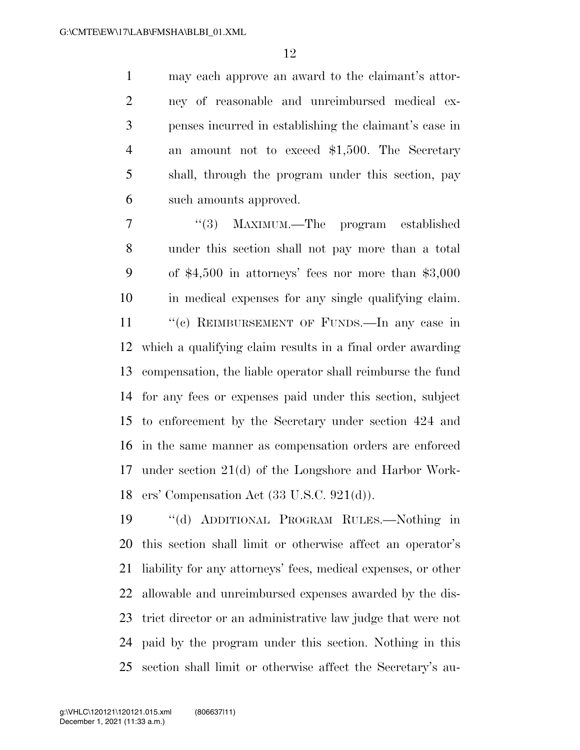may each approve an award to the claimant's attor- ney of reasonable and unreimbursed medical ex- penses incurred in establishing the claimant's case in an amount not to exceed \$1,500. The Secretary shall, through the program under this section, pay such amounts approved.

 ''(3) MAXIMUM.—The program established under this section shall not pay more than a total of \$4,500 in attorneys' fees nor more than \$3,000 in medical expenses for any single qualifying claim. 11 "(c) REIMBURSEMENT OF FUNDS.—In any case in which a qualifying claim results in a final order awarding compensation, the liable operator shall reimburse the fund for any fees or expenses paid under this section, subject to enforcement by the Secretary under section 424 and in the same manner as compensation orders are enforced under section 21(d) of the Longshore and Harbor Work-ers' Compensation Act (33 U.S.C. 921(d)).

 ''(d) ADDITIONAL PROGRAM RULES.—Nothing in this section shall limit or otherwise affect an operator's liability for any attorneys' fees, medical expenses, or other allowable and unreimbursed expenses awarded by the dis- trict director or an administrative law judge that were not paid by the program under this section. Nothing in this section shall limit or otherwise affect the Secretary's au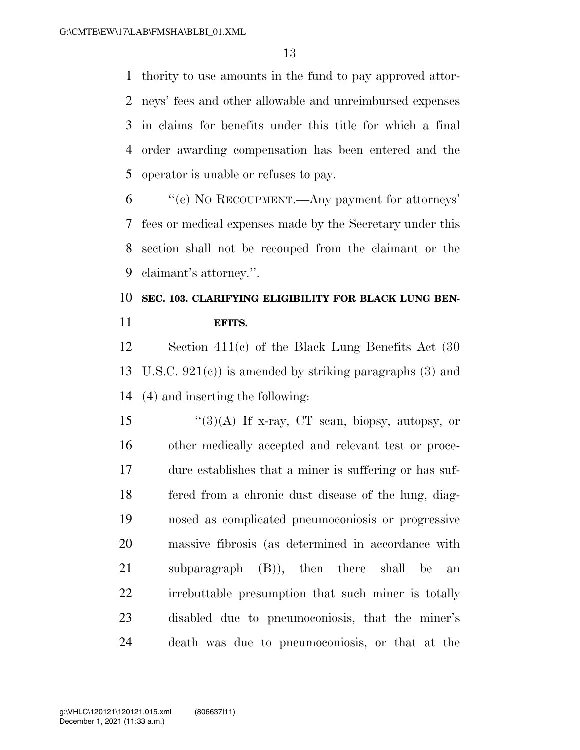thority to use amounts in the fund to pay approved attor- neys' fees and other allowable and unreimbursed expenses in claims for benefits under this title for which a final order awarding compensation has been entered and the operator is unable or refuses to pay.

 ''(e) NO RECOUPMENT.—Any payment for attorneys' fees or medical expenses made by the Secretary under this section shall not be recouped from the claimant or the claimant's attorney.''.

# **SEC. 103. CLARIFYING ELIGIBILITY FOR BLACK LUNG BEN-EFITS.**

 Section 411(c) of the Black Lung Benefits Act (30 13 U.S.C.  $921(c)$  is amended by striking paragraphs (3) and (4) and inserting the following:

 $\frac{1}{3}(3)(A)$  If x-ray, CT scan, biopsy, autopsy, or other medically accepted and relevant test or proce- dure establishes that a miner is suffering or has suf- fered from a chronic dust disease of the lung, diag- nosed as complicated pneumoconiosis or progressive massive fibrosis (as determined in accordance with subparagraph (B)), then there shall be an irrebuttable presumption that such miner is totally disabled due to pneumoconiosis, that the miner's death was due to pneumoconiosis, or that at the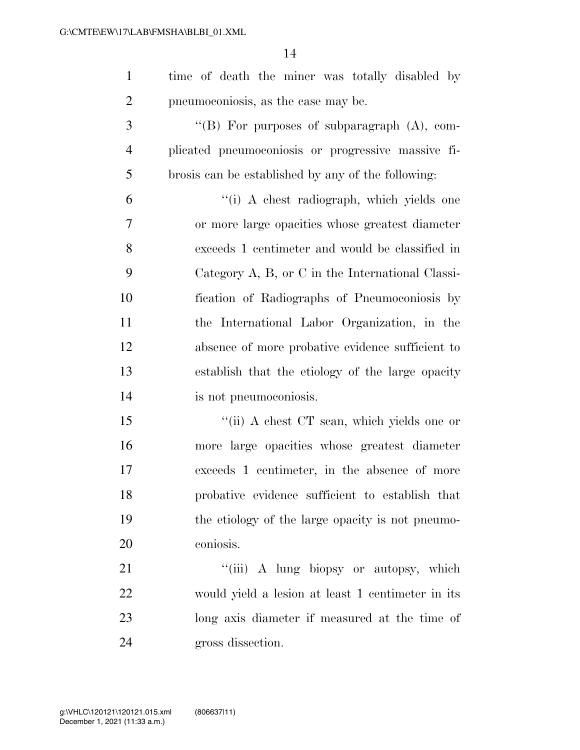| $\mathbf{1}$   | time of death the miner was totally disabled by    |
|----------------|----------------------------------------------------|
| $\overline{2}$ | pneumoconiosis, as the case may be.                |
| 3              | "(B) For purposes of subparagraph $(A)$ , com-     |
| $\overline{4}$ | plicated pneumoconiosis or progressive massive fi- |
| 5              | brosis can be established by any of the following: |
| 6              | "(i) A chest radiograph, which yields one          |
| $\tau$         | or more large opacities whose greatest diameter    |
| 8              | exceeds 1 centimeter and would be classified in    |
| 9              | Category A, B, or C in the International Classi-   |
| 10             | fication of Radiographs of Pneumoconiosis by       |
| 11             | the International Labor Organization, in the       |
| 12             | absence of more probative evidence sufficient to   |
| 13             | establish that the etiology of the large opacity   |
| 14             | is not pneumoconiosis.                             |
| 15             | "(ii) A chest CT scan, which yields one or         |
| 16             | more large opacities whose greatest diameter       |
| 17             | exceeds 1 centimeter, in the absence of more       |
| 18             | probative evidence sufficient to establish that    |
| 19             | the etiology of the large opacity is not pneumo-   |
| 20             | coniosis.                                          |
| 21             | "(iii) A lung biopsy or autopsy, which             |
| 22             | would yield a lession at least 1 centimeter in its |
| 23             | long axis diameter if measured at the time of      |
| 24             | gross dissection.                                  |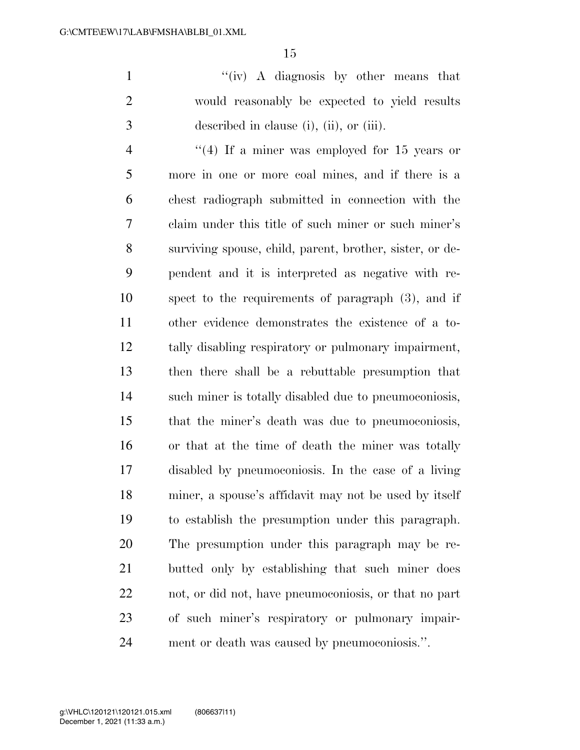''(iv) A diagnosis by other means that would reasonably be expected to yield results described in clause (i), (ii), or (iii).

 ''(4) If a miner was employed for 15 years or more in one or more coal mines, and if there is a chest radiograph submitted in connection with the claim under this title of such miner or such miner's surviving spouse, child, parent, brother, sister, or de- pendent and it is interpreted as negative with re- spect to the requirements of paragraph (3), and if other evidence demonstrates the existence of a to- tally disabling respiratory or pulmonary impairment, then there shall be a rebuttable presumption that such miner is totally disabled due to pneumoconiosis, that the miner's death was due to pneumoconiosis, or that at the time of death the miner was totally disabled by pneumoconiosis. In the case of a living miner, a spouse's affidavit may not be used by itself to establish the presumption under this paragraph. The presumption under this paragraph may be re- butted only by establishing that such miner does not, or did not, have pneumoconiosis, or that no part of such miner's respiratory or pulmonary impair-ment or death was caused by pneumoconiosis.''.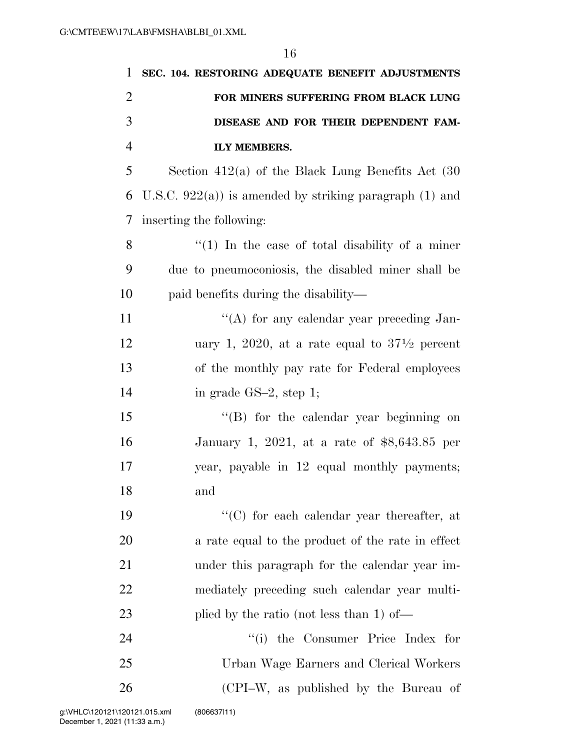| 1              | SEC. 104. RESTORING ADEQUATE BENEFIT ADJUSTMENTS         |
|----------------|----------------------------------------------------------|
| $\overline{2}$ | FOR MINERS SUFFERING FROM BLACK LUNG                     |
| 3              | DISEASE AND FOR THEIR DEPENDENT FAM-                     |
| $\overline{4}$ | <b>ILY MEMBERS.</b>                                      |
| 5              | Section $412(a)$ of the Black Lung Benefits Act $(30)$   |
| 6              | U.S.C. $922(a)$ is amended by striking paragraph (1) and |
| 7              | inserting the following:                                 |
| 8              | $\lq(1)$ In the case of total disability of a miner      |
| 9              | due to pneumoconiosis, the disabled miner shall be       |
| 10             | paid benefits during the disability—                     |
| 11             | "(A) for any calendar year preceding Jan-                |
| 12             | uary 1, 2020, at a rate equal to $37\frac{1}{2}$ percent |
| 13             | of the monthly pay rate for Federal employees            |
| 14             | in grade $GS-2$ , step 1;                                |
| 15             | $\lq\lq (B)$ for the calendar year beginning on          |
| 16             | January 1, 2021, at a rate of $$8,643.85$ per            |
| 17             | year, payable in 12 equal monthly payments;              |
| 18             | and                                                      |
| 19             | "(C) for each calendar year thereafter, at               |
| 20             | a rate equal to the product of the rate in effect        |
| 21             | under this paragraph for the calendar year im-           |
| 22             | mediately preceding such calendar year multi-            |
| 23             | plied by the ratio (not less than 1) of—                 |
| 24             | "(i) the Consumer Price Index for                        |
| 25             | Urban Wage Earners and Clerical Workers                  |
| 26             | (CPI-W, as published by the Bureau of                    |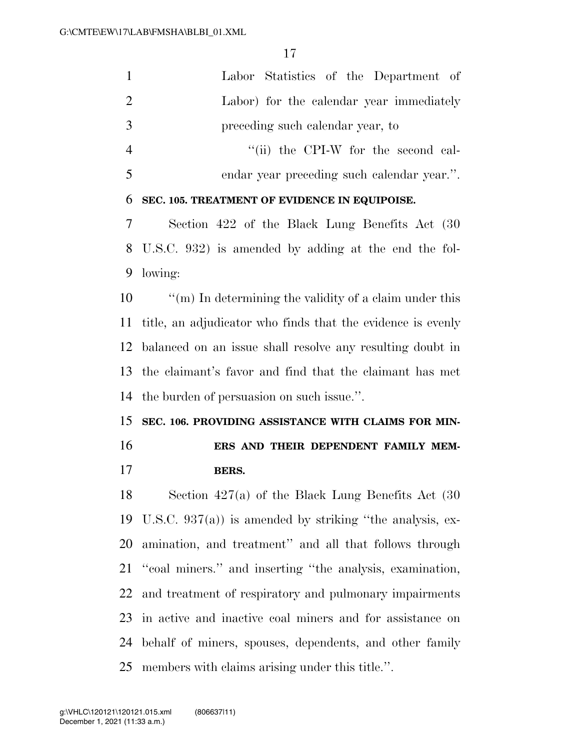| $\mathbf{1}$   | Labor Statistics of the Department of                          |
|----------------|----------------------------------------------------------------|
| $\overline{2}$ | Labor) for the calendar year immediately                       |
| 3              | preceding such calendar year, to                               |
| $\overline{4}$ | "(ii) the CPI-W for the second cal-                            |
| 5              | endar year preceding such calendar year.".                     |
| 6              | SEC. 105. TREATMENT OF EVIDENCE IN EQUIPOISE.                  |
| 7              | Section 422 of the Black Lung Benefits Act (30)                |
| 8              | U.S.C. 932) is amended by adding at the end the fol-           |
| 9              | lowing:                                                        |
| 10             | $\lq\lq$ (m) In determining the validity of a claim under this |
| 11             | title, an adjudicator who finds that the evidence is evenly    |
| 12             | balanced on an issue shall resolve any resulting doubt in      |
|                |                                                                |
|                | the claimant's favor and find that the claimant has met        |
| 13<br>14       | the burden of persuasion on such issue.".                      |
| 15             | SEC. 106. PROVIDING ASSISTANCE WITH CLAIMS FOR MIN-            |
| 16             | ERS AND THEIR DEPENDENT FAMILY MEM-                            |
| 17             | <b>BERS.</b>                                                   |
| 18             | Section $427(a)$ of the Black Lung Benefits Act $(30)$         |
| 19             | U.S.C. $937(a)$ is amended by striking "the analysis, ex-      |
| 20             | amination, and treatment" and all that follows through         |
| 21             | "coal miners." and inserting "the analysis, examination,       |
| 22             | and treatment of respiratory and pulmonary impairments         |
| 23             | in active and inactive coal miners and for assistance on       |
| 24             | behalf of miners, spouses, dependents, and other family        |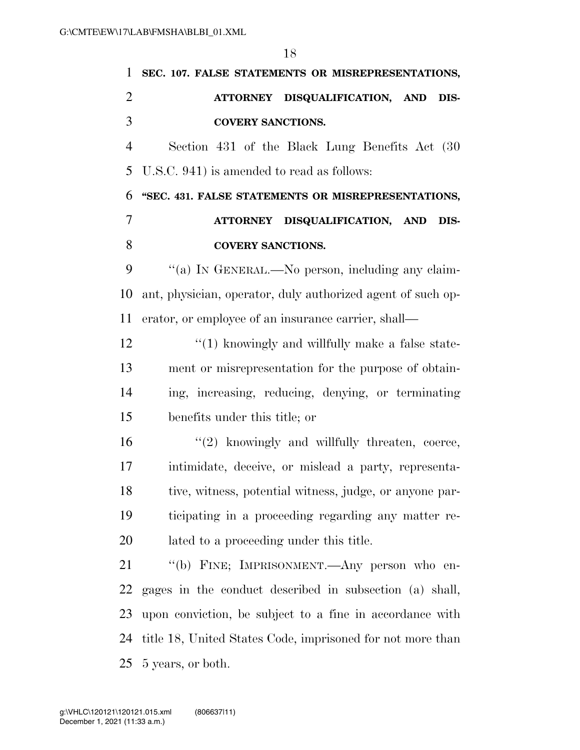| 1              | SEC. 107. FALSE STATEMENTS OR MISREPRESENTATIONS,           |
|----------------|-------------------------------------------------------------|
| $\overline{2}$ | ATTORNEY DISQUALIFICATION, AND<br>DIS-                      |
| 3              | <b>COVERY SANCTIONS.</b>                                    |
| $\overline{4}$ | Section 431 of the Black Lung Benefits Act (30)             |
| 5              | U.S.C. 941) is amended to read as follows:                  |
| 6              | "SEC. 431. FALSE STATEMENTS OR MISREPRESENTATIONS,          |
| 7              | ATTORNEY DISQUALIFICATION, AND<br>DIS-                      |
| 8              | <b>COVERY SANCTIONS.</b>                                    |
| 9              | "(a) IN GENERAL.—No person, including any claim-            |
| 10             | ant, physician, operator, duly authorized agent of such op- |
| 11             | erator, or employee of an insurance carrier, shall—         |
| 12             | $\lq(1)$ knowingly and willfully make a false state-        |
| 13             | ment or misrepresentation for the purpose of obtain-        |
| 14             | ing, increasing, reducing, denying, or terminating          |
| 15             | benefits under this title; or                               |
| 16             | $"(2)$ knowingly and willfully threaten, coerce,            |
| 17             | intimidate, deceive, or mislead a party, representa-        |
| 18             | tive, witness, potential witness, judge, or anyone par-     |
| 19             | ticipating in a proceeding regarding any matter re-         |
| 20             | lated to a proceeding under this title.                     |
| 21             | "(b) FINE; IMPRISONMENT.—Any person who en-                 |
| 22             | gages in the conduct described in subsection (a) shall,     |
| 23             | upon conviction, be subject to a fine in accordance with    |
| 24             | title 18, United States Code, imprisoned for not more than  |
| 25             | 5 years, or both.                                           |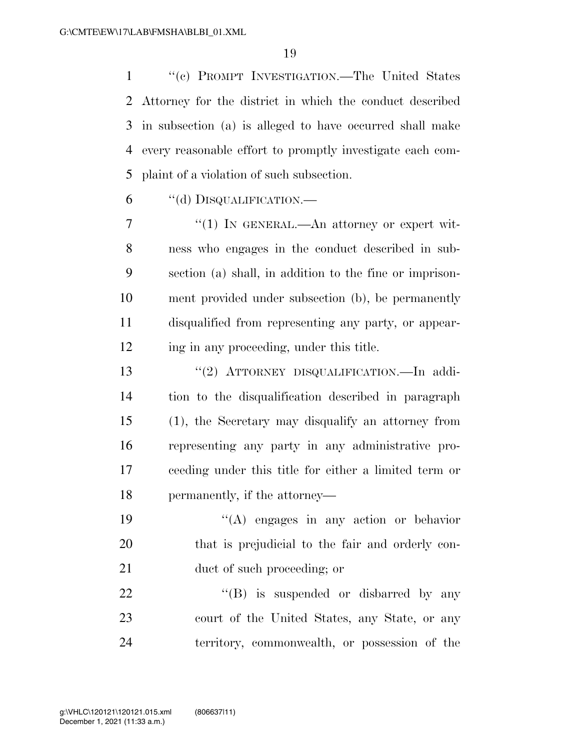''(c) PROMPT INVESTIGATION.—The United States Attorney for the district in which the conduct described in subsection (a) is alleged to have occurred shall make every reasonable effort to promptly investigate each com-plaint of a violation of such subsection.

''(d) DISQUALIFICATION.—

 $\frac{1}{1}$  In GENERAL.—An attorney or expert wit- ness who engages in the conduct described in sub- section (a) shall, in addition to the fine or imprison- ment provided under subsection (b), be permanently disqualified from representing any party, or appear-12 ing in any proceeding, under this title.

 ''(2) ATTORNEY DISQUALIFICATION.—In addi- tion to the disqualification described in paragraph (1), the Secretary may disqualify an attorney from representing any party in any administrative pro- ceeding under this title for either a limited term or permanently, if the attorney—

 ''(A) engages in any action or behavior that is prejudicial to the fair and orderly con-21 duct of such proceeding; or

22 "'(B) is suspended or disbarred by any court of the United States, any State, or any territory, commonwealth, or possession of the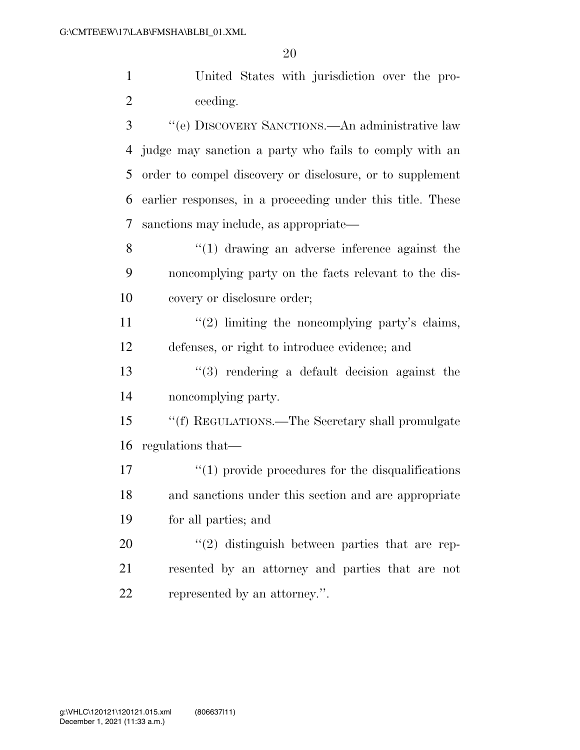United States with jurisdiction over the pro-ceeding.

 ''(e) DISCOVERY SANCTIONS.—An administrative law judge may sanction a party who fails to comply with an order to compel discovery or disclosure, or to supplement earlier responses, in a proceeding under this title. These sanctions may include, as appropriate—

8 ''(1) drawing an adverse inference against the noncomplying party on the facts relevant to the dis-covery or disclosure order;

11  $\frac{u(2)}{2}$  limiting the noncomplying party's claims, defenses, or right to introduce evidence; and

 ''(3) rendering a default decision against the noncomplying party.

 ''(f) REGULATIONS.—The Secretary shall promulgate regulations that—

17  $\frac{17}{2}$  (1) provide procedures for the disqualifications and sanctions under this section and are appropriate for all parties; and

20  $\frac{1}{2}$  distinguish between parties that are rep- resented by an attorney and parties that are not represented by an attorney.''.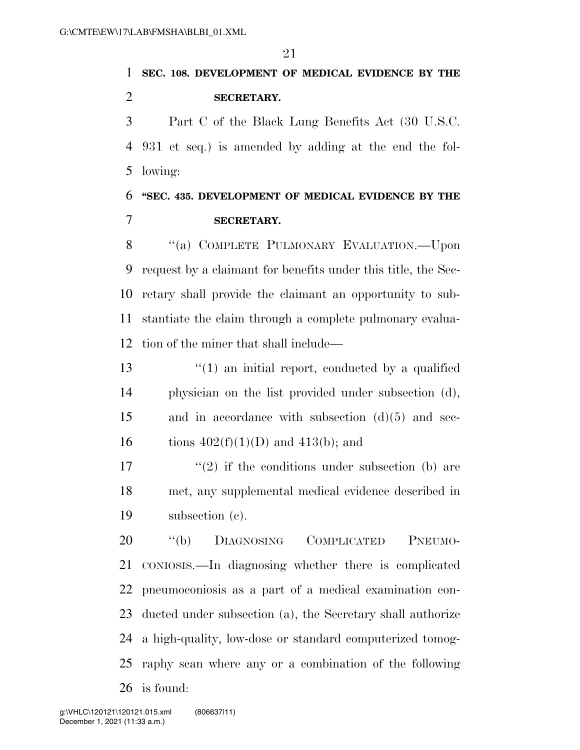**SEC. 108. DEVELOPMENT OF MEDICAL EVIDENCE BY THE SECRETARY.** 

 Part C of the Black Lung Benefits Act (30 U.S.C. 931 et seq.) is amended by adding at the end the fol-lowing:

 **''SEC. 435. DEVELOPMENT OF MEDICAL EVIDENCE BY THE SECRETARY.** 

8 "(a) COMPLETE PULMONARY EVALUATION.—Upon request by a claimant for benefits under this title, the Sec- retary shall provide the claimant an opportunity to sub- stantiate the claim through a complete pulmonary evalua-tion of the miner that shall include—

13 ''(1) an initial report, conducted by a qualified physician on the list provided under subsection (d), and in accordance with subsection (d)(5) and sec-16 tions  $402(f)(1)(D)$  and  $413(b)$ ; and

17  $(2)$  if the conditions under subsection (b) are met, any supplemental medical evidence described in subsection (c).

 ''(b) DIAGNOSING COMPLICATED PNEUMO- CONIOSIS.—In diagnosing whether there is complicated pneumoconiosis as a part of a medical examination con- ducted under subsection (a), the Secretary shall authorize a high-quality, low-dose or standard computerized tomog- raphy scan where any or a combination of the following is found: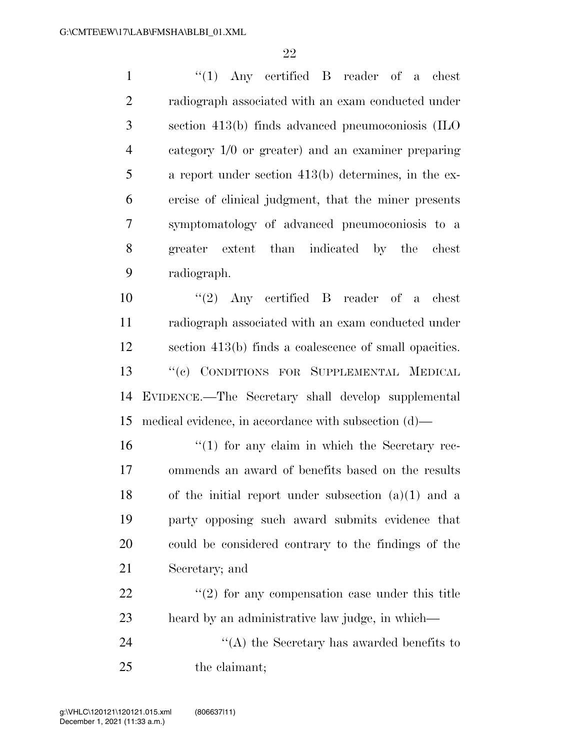1 ''(1) Any certified B reader of a chest radiograph associated with an exam conducted under section 413(b) finds advanced pneumoconiosis (ILO category 1/0 or greater) and an examiner preparing a report under section 413(b) determines, in the ex- ercise of clinical judgment, that the miner presents symptomatology of advanced pneumoconiosis to a greater extent than indicated by the chest radiograph.

 ''(2) Any certified B reader of a chest radiograph associated with an exam conducted under section 413(b) finds a coalescence of small opacities. ''(c) CONDITIONS FOR SUPPLEMENTAL MEDICAL EVIDENCE.—The Secretary shall develop supplemental medical evidence, in accordance with subsection (d)—

 $\frac{16}{10}$  <sup>''</sup>(1) for any claim in which the Secretary rec- ommends an award of benefits based on the results 18 of the initial report under subsection  $(a)(1)$  and a party opposing such award submits evidence that could be considered contrary to the findings of the Secretary; and

 $\frac{22}{22}$  ''(2) for any compensation case under this title heard by an administrative law judge, in which—

24 ''(A) the Secretary has awarded benefits to the claimant;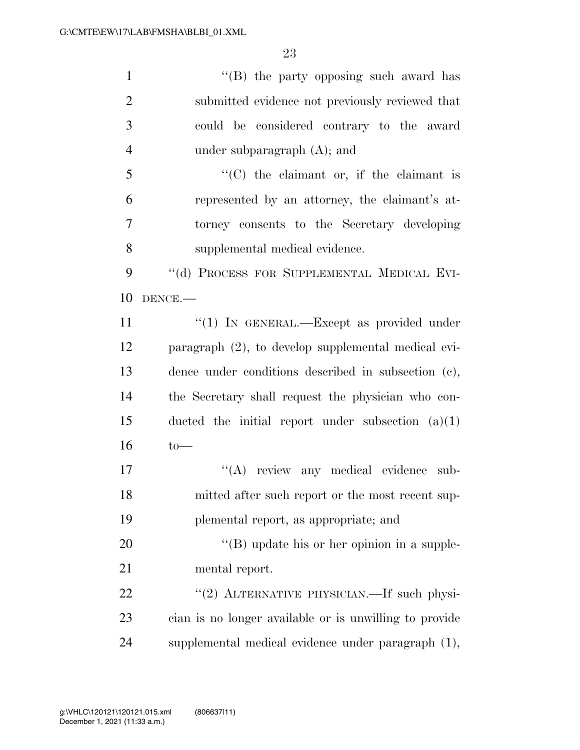| $\mathbf{1}$   | "(B) the party opposing such award has                 |
|----------------|--------------------------------------------------------|
| $\overline{2}$ | submitted evidence not previously reviewed that        |
| 3              | could be considered contrary to the award              |
| $\overline{4}$ | under subparagraph $(A)$ ; and                         |
| 5              | "(C) the claimant or, if the claimant is               |
| 6              | represented by an attorney, the claimant's at-         |
| $\tau$         | torney consents to the Secretary developing            |
| 8              | supplemental medical evidence.                         |
| 9              | "(d) PROCESS FOR SUPPLEMENTAL MEDICAL EVI-             |
| 10             | DENCE.-                                                |
| 11             | "(1) IN GENERAL.—Except as provided under              |
| 12             | paragraph (2), to develop supplemental medical evi-    |
| 13             | dence under conditions described in subsection (c),    |
| 14             | the Secretary shall request the physician who con-     |
| 15             | ducted the initial report under subsection $(a)(1)$    |
| 16             | $to-$                                                  |
| 17             | "(A) review any medical evidence sub-                  |
| 18             | mitted after such report or the most recent sup-       |
| 19             | plemental report, as appropriate; and                  |
| 20             | $\lq\lq (B)$ update his or her opinion in a supple-    |
| 21             | mental report.                                         |
| 22             | "(2) ALTERNATIVE PHYSICIAN.—If such physi-             |
| 23             | cian is no longer available or is unwilling to provide |
| 24             | supplemental medical evidence under paragraph (1),     |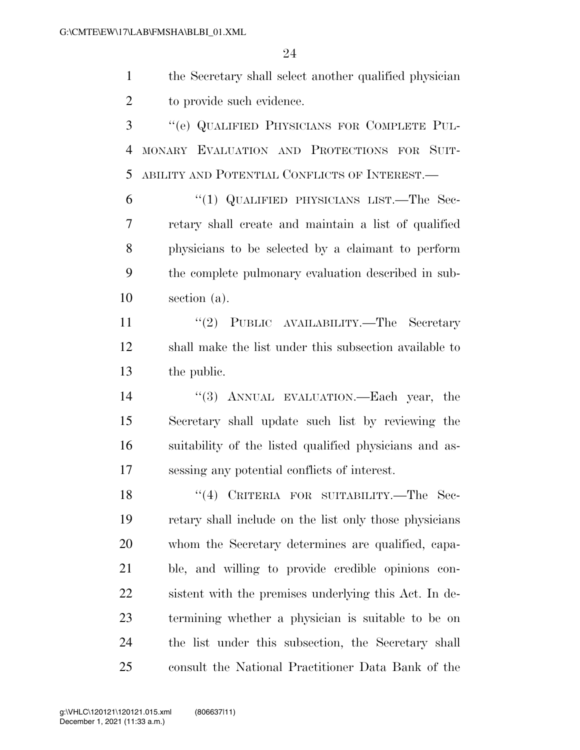the Secretary shall select another qualified physician to provide such evidence.

 ''(e) QUALIFIED PHYSICIANS FOR COMPLETE PUL- MONARY EVALUATION AND PROTECTIONS FOR SUIT-ABILITY AND POTENTIAL CONFLICTS OF INTEREST.—

 ''(1) QUALIFIED PHYSICIANS LIST.—The Sec- retary shall create and maintain a list of qualified physicians to be selected by a claimant to perform the complete pulmonary evaluation described in sub-section (a).

11 ''(2) PUBLIC AVAILABILITY.—The Secretary shall make the list under this subsection available to the public.

 ''(3) ANNUAL EVALUATION.—Each year, the Secretary shall update such list by reviewing the suitability of the listed qualified physicians and as-sessing any potential conflicts of interest.

18 "(4) CRITERIA FOR SUITABILITY.—The Sec- retary shall include on the list only those physicians whom the Secretary determines are qualified, capa- ble, and willing to provide credible opinions con- sistent with the premises underlying this Act. In de- termining whether a physician is suitable to be on the list under this subsection, the Secretary shall consult the National Practitioner Data Bank of the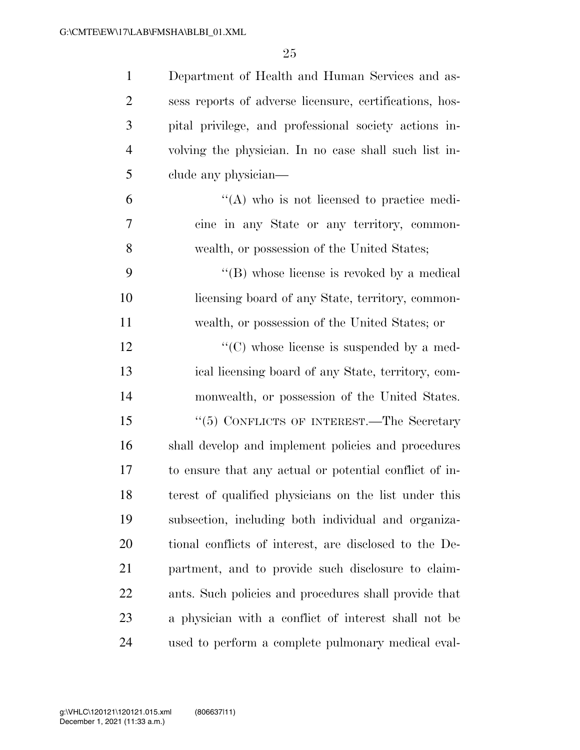| $\mathbf{1}$   | Department of Health and Human Services and as-         |
|----------------|---------------------------------------------------------|
| $\overline{2}$ | sess reports of adverse licensure, certifications, hos- |
| 3              | pital privilege, and professional society actions in-   |
| $\overline{4}$ | volving the physician. In no case shall such list in-   |
| 5              | clude any physician—                                    |
| 6              | $\lq\lq$ who is not licensed to practice medi-          |
| 7              | cine in any State or any territory, common-             |
| 8              | wealth, or possession of the United States;             |
| 9              | $\lq\lq$ whose license is revoked by a medical          |
| 10             | licensing board of any State, territory, common-        |
| 11             | wealth, or possession of the United States; or          |
| 12             | $\lq\lq$ (C) whose license is suspended by a med-       |
| 13             | ical licensing board of any State, territory, com-      |
| 14             | monwealth, or possession of the United States.          |
| 15             | " $(5)$ CONFLICTS OF INTEREST.—The Secretary            |
| 16             | shall develop and implement policies and procedures     |
| 17             | to ensure that any actual or potential conflict of in-  |
| 18             | terest of qualified physicians on the list under this   |
| 19             | subsection, including both individual and organiza-     |
| 20             | tional conflicts of interest, are disclosed to the De-  |
| 21             | partment, and to provide such disclosure to claim-      |
| 22             | ants. Such policies and procedures shall provide that   |
| 23             | a physician with a conflict of interest shall not be    |
| 24             | used to perform a complete pulmonary medical eval-      |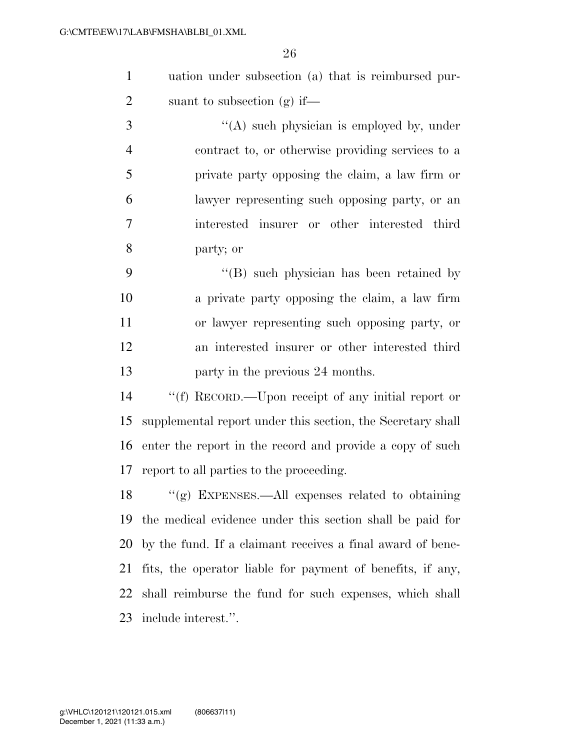uation under subsection (a) that is reimbursed pur-suant to subsection (g) if—

 ''(A) such physician is employed by, under contract to, or otherwise providing services to a private party opposing the claim, a law firm or lawyer representing such opposing party, or an interested insurer or other interested third party; or

9 ''(B) such physician has been retained by a private party opposing the claim, a law firm or lawyer representing such opposing party, or an interested insurer or other interested third **party in the previous 24 months.** 

 ''(f) RECORD.—Upon receipt of any initial report or supplemental report under this section, the Secretary shall enter the report in the record and provide a copy of such report to all parties to the proceeding.

 ''(g) EXPENSES.—All expenses related to obtaining the medical evidence under this section shall be paid for by the fund. If a claimant receives a final award of bene- fits, the operator liable for payment of benefits, if any, shall reimburse the fund for such expenses, which shall include interest.''.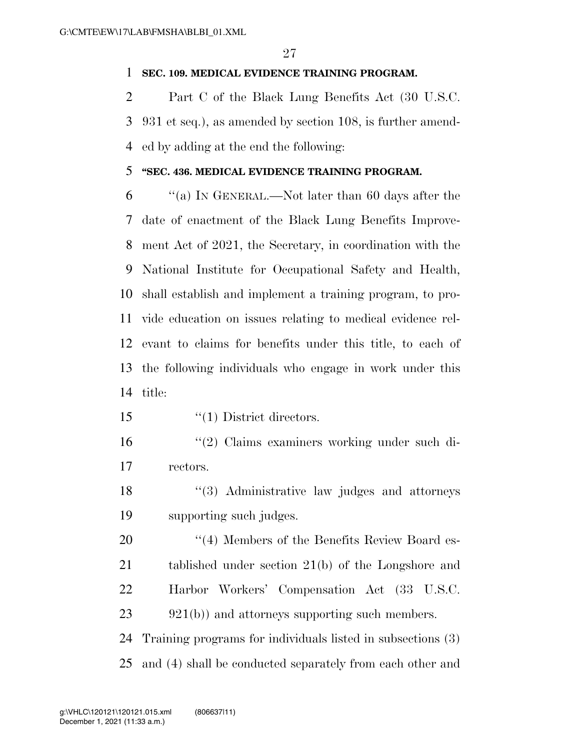### **SEC. 109. MEDICAL EVIDENCE TRAINING PROGRAM.**

 Part C of the Black Lung Benefits Act (30 U.S.C. 931 et seq.), as amended by section 108, is further amend-ed by adding at the end the following:

### **''SEC. 436. MEDICAL EVIDENCE TRAINING PROGRAM.**

 ''(a) IN GENERAL.—Not later than 60 days after the date of enactment of the Black Lung Benefits Improve- ment Act of 2021, the Secretary, in coordination with the National Institute for Occupational Safety and Health, shall establish and implement a training program, to pro- vide education on issues relating to medical evidence rel- evant to claims for benefits under this title, to each of the following individuals who engage in work under this title:

15 '(1) District directors.

- ''(2) Claims examiners working under such di-rectors.
- ''(3) Administrative law judges and attorneys supporting such judges.
- 20 "(4) Members of the Benefits Review Board es- tablished under section 21(b) of the Longshore and Harbor Workers' Compensation Act (33 U.S.C. 23 921(b)) and attorneys supporting such members.

 Training programs for individuals listed in subsections (3) and (4) shall be conducted separately from each other and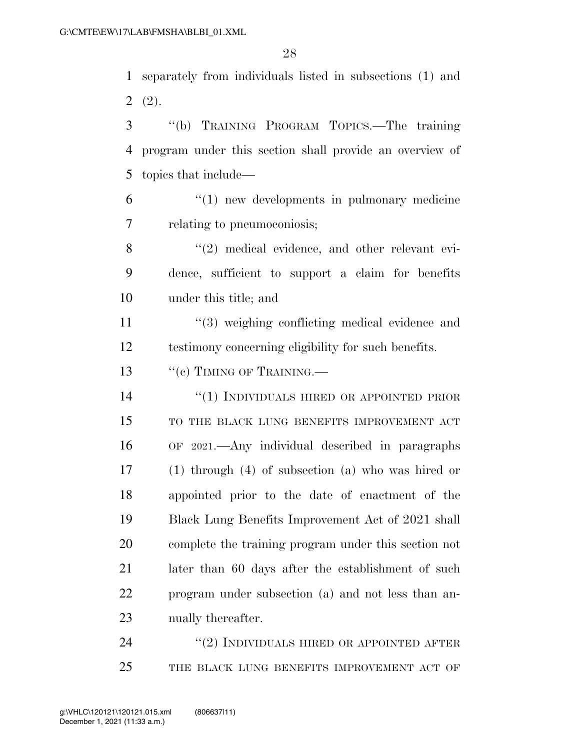separately from individuals listed in subsections (1) and  $2(2)$ .

 ''(b) TRAINING PROGRAM TOPICS.—The training program under this section shall provide an overview of topics that include—

 ''(1) new developments in pulmonary medicine relating to pneumoconiosis;

8 "(2) medical evidence, and other relevant evi- dence, sufficient to support a claim for benefits under this title; and

11 ''(3) weighing conflicting medical evidence and testimony concerning eligibility for such benefits.

13 "(c) TIMING OF TRAINING.—

14 "(1) INDIVIDUALS HIRED OR APPOINTED PRIOR 15 TO THE BLACK LUNG BENEFITS IMPROVEMENT ACT OF 2021.—Any individual described in paragraphs (1) through (4) of subsection (a) who was hired or appointed prior to the date of enactment of the Black Lung Benefits Improvement Act of 2021 shall complete the training program under this section not later than 60 days after the establishment of such program under subsection (a) and not less than an-nually thereafter.

24 "(2) INDIVIDUALS HIRED OR APPOINTED AFTER 25 THE BLACK LUNG BENEFITS IMPROVEMENT ACT OF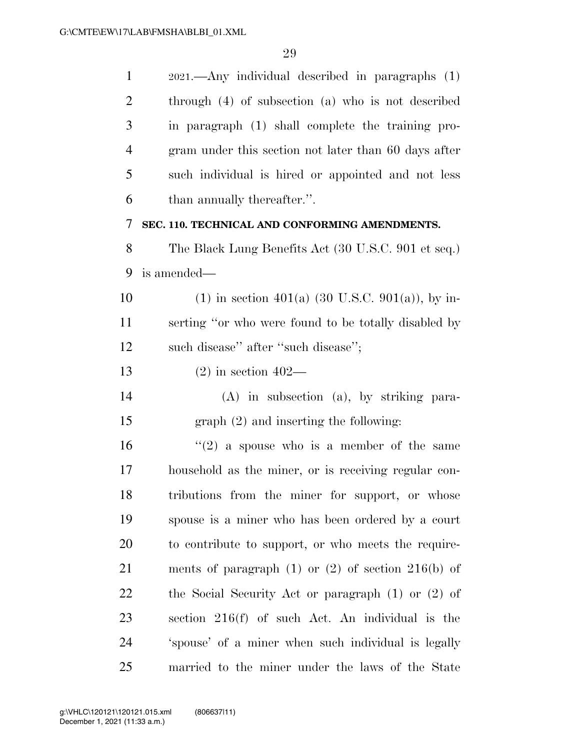2021.—Any individual described in paragraphs (1) through (4) of subsection (a) who is not described in paragraph (1) shall complete the training pro- gram under this section not later than 60 days after such individual is hired or appointed and not less than annually thereafter.''. **SEC. 110. TECHNICAL AND CONFORMING AMENDMENTS.**  The Black Lung Benefits Act (30 U.S.C. 901 et seq.) is amended— 10 (1) in section 401(a) (30 U.S.C. 901(a)), by in- serting ''or who were found to be totally disabled by 12 such disease" after "such disease"; (2) in section 402— (A) in subsection (a), by striking para- graph (2) and inserting the following:  $(2)$  a spouse who is a member of the same household as the miner, or is receiving regular con- tributions from the miner for support, or whose spouse is a miner who has been ordered by a court to contribute to support, or who meets the require- ments of paragraph (1) or (2) of section 216(b) of the Social Security Act or paragraph (1) or (2) of section 216(f) of such Act. An individual is the 'spouse' of a miner when such individual is legally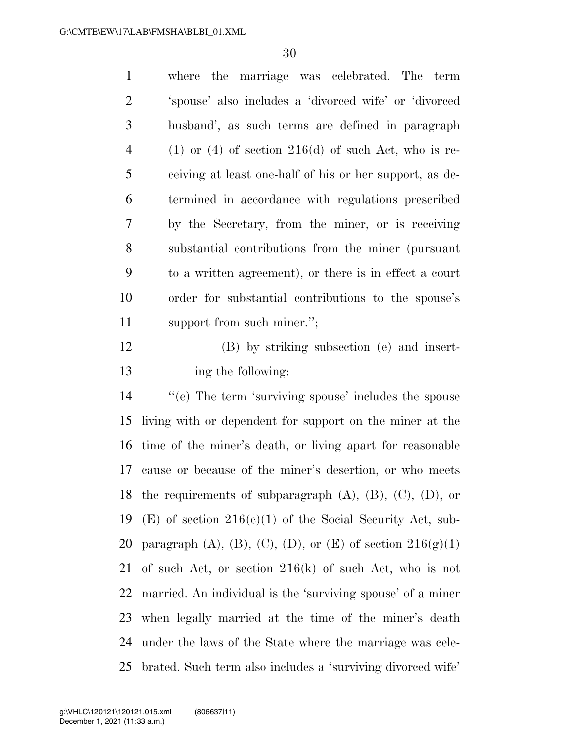| $\mathbf{1}$   | where the marriage was celebrated. The term                                                                                                                                                                                                                                                                                        |
|----------------|------------------------------------------------------------------------------------------------------------------------------------------------------------------------------------------------------------------------------------------------------------------------------------------------------------------------------------|
| 2              | 'spouse' also includes a 'divorced wife' or 'divorced                                                                                                                                                                                                                                                                              |
| 3              | husband', as such terms are defined in paragraph                                                                                                                                                                                                                                                                                   |
| $\overline{4}$ | $(1)$ or $(4)$ of section $216(d)$ of such Act, who is re-                                                                                                                                                                                                                                                                         |
| 5              | ceiving at least one-half of his or her support, as de-                                                                                                                                                                                                                                                                            |
| 6              | termined in accordance with regulations prescribed                                                                                                                                                                                                                                                                                 |
| 7              | by the Secretary, from the miner, or is receiving                                                                                                                                                                                                                                                                                  |
| 8              | substantial contributions from the miner (pursuant                                                                                                                                                                                                                                                                                 |
| 9              | to a written agreement), or there is in effect a court                                                                                                                                                                                                                                                                             |
| 10             | order for substantial contributions to the spouse's                                                                                                                                                                                                                                                                                |
| 11             | support from such miner.";                                                                                                                                                                                                                                                                                                         |
| $1^{\wedge}$   | $\mathbf{1}$ $\mathbf{1}$ $\mathbf{1}$ $\mathbf{1}$ $\mathbf{1}$ $\mathbf{1}$ $\mathbf{1}$ $\mathbf{1}$ $\mathbf{1}$ $\mathbf{1}$ $\mathbf{1}$ $\mathbf{1}$ $\mathbf{1}$ $\mathbf{1}$ $\mathbf{1}$ $\mathbf{1}$ $\mathbf{1}$ $\mathbf{1}$ $\mathbf{1}$ $\mathbf{1}$ $\mathbf{1}$ $\mathbf{1}$ $\mathbf{1}$ $\mathbf{1}$ $\mathbf{$ |

 (B) by striking subsection (e) and insert-ing the following:

 ''(e) The term 'surviving spouse' includes the spouse living with or dependent for support on the miner at the time of the miner's death, or living apart for reasonable cause or because of the miner's desertion, or who meets 18 the requirements of subparagraph  $(A)$ ,  $(B)$ ,  $(C)$ ,  $(D)$ , or 19 (E) of section  $216(c)(1)$  of the Social Security Act, sub-20 paragraph (A), (B), (C), (D), or (E) of section  $216(g)(1)$  of such Act, or section 216(k) of such Act, who is not married. An individual is the 'surviving spouse' of a miner when legally married at the time of the miner's death under the laws of the State where the marriage was cele-brated. Such term also includes a 'surviving divorced wife'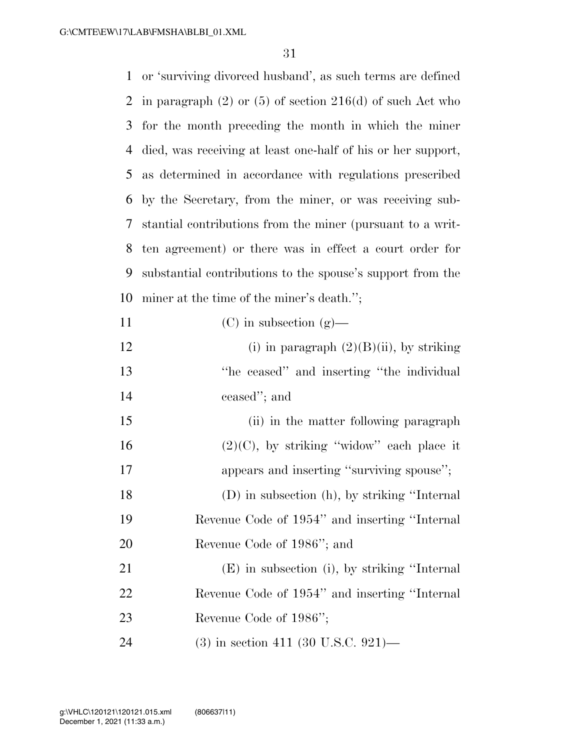or 'surviving divorced husband', as such terms are defined 2 in paragraph  $(2)$  or  $(5)$  of section  $216(d)$  of such Act who for the month preceding the month in which the miner died, was receiving at least one-half of his or her support, as determined in accordance with regulations prescribed by the Secretary, from the miner, or was receiving sub- stantial contributions from the miner (pursuant to a writ- ten agreement) or there was in effect a court order for substantial contributions to the spouse's support from the miner at the time of the miner's death.'';

- (C) in subsection (g)— 12 (i) in paragraph  $(2)(B)(ii)$ , by striking
- ''he ceased'' and inserting ''the individual ceased''; and
- 15 (ii) in the matter following paragraph 16  $(2)(C)$ , by striking "widow" each place it 17 appears and inserting "surviving spouse"; (D) in subsection (h), by striking ''Internal Revenue Code of 1954'' and inserting ''Internal Revenue Code of 1986''; and
- (E) in subsection (i), by striking ''Internal Revenue Code of 1954'' and inserting ''Internal Revenue Code of 1986'';
- (3) in section 411 (30 U.S.C. 921)—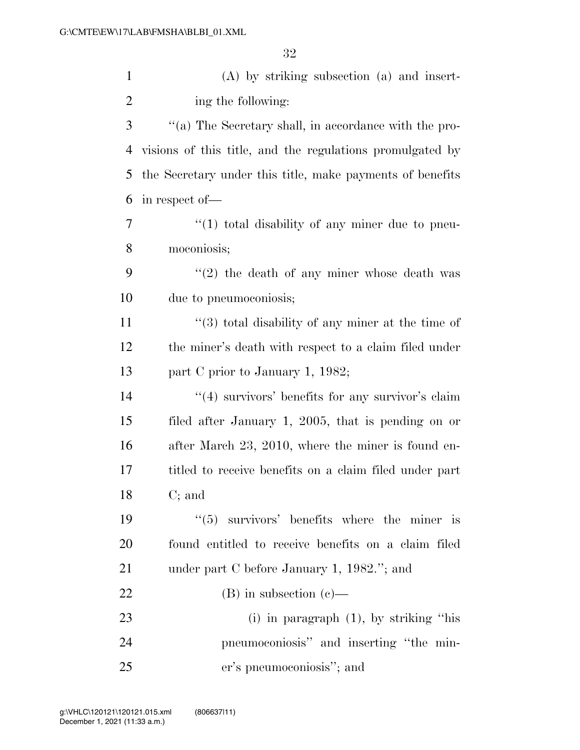| $\mathbf{1}$   | $(A)$ by striking subsection $(a)$ and insert-            |
|----------------|-----------------------------------------------------------|
| $\overline{2}$ | ing the following:                                        |
| 3              | "(a) The Secretary shall, in accordance with the pro-     |
| 4              | visions of this title, and the regulations promulgated by |
| 5              | the Secretary under this title, make payments of benefits |
| 6              | in respect of-                                            |
| 7              | $\lq(1)$ total disability of any miner due to pneu-       |
| 8              | moconiosis;                                               |
| 9              | $\lq(2)$ the death of any miner whose death was           |
| 10             | due to pneumoconiosis;                                    |
| 11             | $(3)$ total disability of any miner at the time of        |
| 12             | the miner's death with respect to a claim filed under     |
| 13             | part C prior to January 1, 1982;                          |
| 14             | $\lq(4)$ survivors' benefits for any survivor's claim     |
| 15             | filed after January 1, 2005, that is pending on or        |
| 16             | after March 23, 2010, where the miner is found en-        |
| 17             | titled to receive benefits on a claim filed under part    |
| 18             | $C;$ and                                                  |
| 19             | $\lq(5)$ survivors' benefits where the miner is           |
| 20             | found entitled to receive benefits on a claim filed       |
| 21             | under part C before January 1, $1982$ ."; and             |
| 22             | $(B)$ in subsection $(c)$ —                               |
| 23             | $(i)$ in paragraph $(1)$ , by striking "his               |
| 24             | pneumoconiosis" and inserting "the min-                   |
| 25             | er's pneumoconiosis"; and                                 |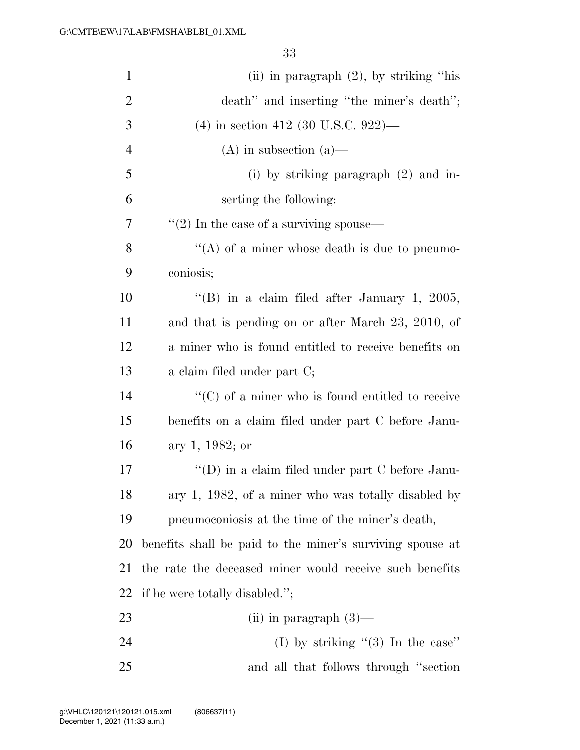| $\mathbf{1}$   | (ii) in paragraph $(2)$ , by striking "his                |
|----------------|-----------------------------------------------------------|
| $\overline{2}$ | death" and inserting "the miner's death";                 |
| 3              | $(4)$ in section 412 (30 U.S.C. 922)—                     |
| $\overline{4}$ | $(A)$ in subsection $(a)$ —                               |
| 5              | (i) by striking paragraph $(2)$ and in-                   |
| 6              | serting the following:                                    |
| 7              | $\lq(2)$ In the case of a surviving spouse—               |
| 8              | "(A) of a miner whose death is due to pneumo-             |
| 9              | coniosis;                                                 |
| 10             | "(B) in a claim filed after January 1, 2005,              |
| 11             | and that is pending on or after March 23, 2010, of        |
| 12             | a miner who is found entitled to receive benefits on      |
| 13             | a claim filed under part C;                               |
| 14             | $\lq\lq$ (C) of a miner who is found entitled to receive  |
| 15             | benefits on a claim filed under part C before Janu-       |
| 16             | ary 1, 1982; or                                           |
| 17             | "(D) in a claim filed under part C before Janu-           |
| 18             | ary 1, 1982, of a miner who was totally disabled by       |
| 19             | pneumoconiosis at the time of the miner's death,          |
| 20             | benefits shall be paid to the miner's surviving spouse at |
| 21             | the rate the deceased miner would receive such benefits   |
| 22             | if he were totally disabled.";                            |
| 23             | (ii) in paragraph $(3)$ —                                 |
| 24             | (I) by striking " $(3)$ In the case"                      |
| 25             | and all that follows through "section"                    |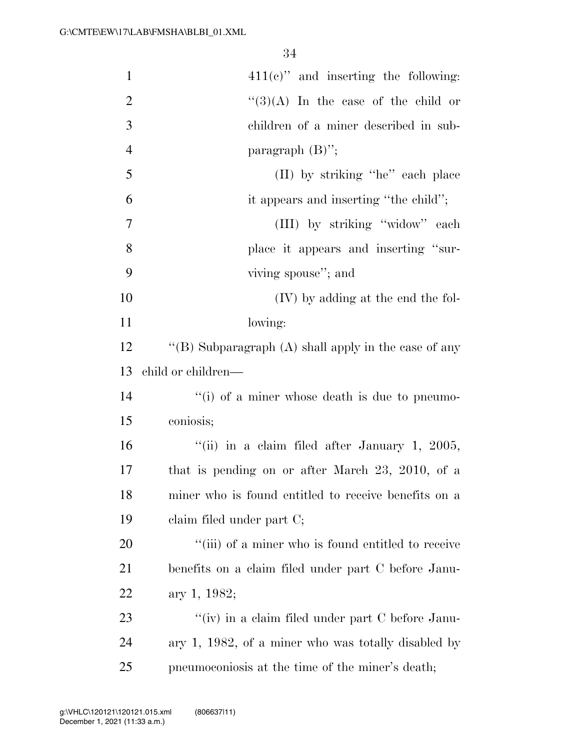| $\mathbf{1}$   | $411(e)$ " and inserting the following:                |
|----------------|--------------------------------------------------------|
| $\overline{2}$ | $\lq(3)(A)$ In the case of the child or                |
| 3              | children of a miner described in sub-                  |
| $\overline{4}$ | paragraph $(B)$ ";                                     |
| 5              | (II) by striking "he" each place                       |
| 6              | it appears and inserting "the child";                  |
| 7              | (III) by striking "widow" each                         |
| 8              | place it appears and inserting "sur-                   |
| 9              | viving spouse"; and                                    |
| 10             | (IV) by adding at the end the fol-                     |
| 11             | lowing:                                                |
| 12             | "(B) Subparagraph $(A)$ shall apply in the case of any |
| 13             | child or children—                                     |
| 14             | "(i) of a miner whose death is due to pneumo-          |
| 15             | coniosis;                                              |
| 16             | "(ii) in a claim filed after January 1, 2005,          |
| 17             | that is pending on or after March 23, 2010, of a       |
| 18             | miner who is found entitled to receive benefits on a   |
| 19             | claim filed under part C;                              |
| 20             | "(iii) of a miner who is found entitled to receive     |
| 21             | benefits on a claim filed under part C before Janu-    |
| 22             | ary 1, 1982;                                           |
| 23             | "(iv) in a claim filed under part $C$ before Janu-     |
| 24             | ary 1, 1982, of a miner who was totally disabled by    |
| 25             | pneumoconiosis at the time of the miner's death;       |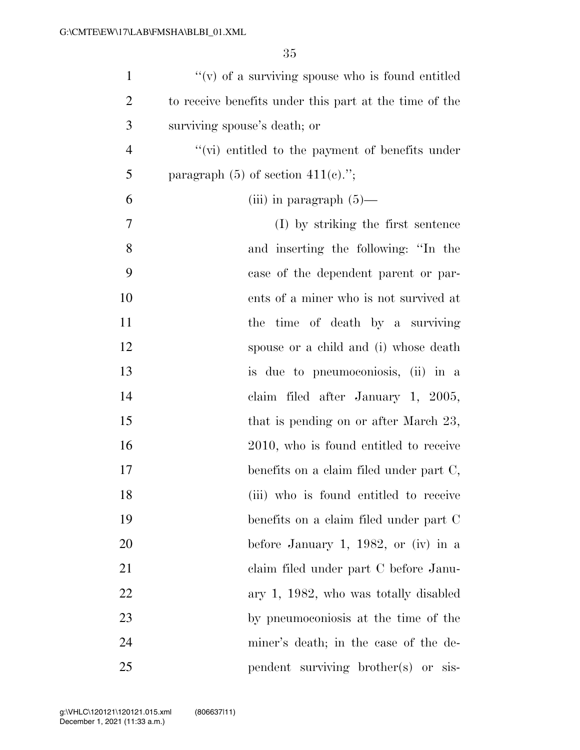| $\mathbf{1}$   | $f'(v)$ of a surviving spouse who is found entitled    |
|----------------|--------------------------------------------------------|
| $\overline{2}$ | to receive benefits under this part at the time of the |
| 3              | surviving spouse's death; or                           |
| $\overline{4}$ | "(vi) entitled to the payment of benefits under        |
| 5              | paragraph $(5)$ of section $411(e)$ .";                |
| 6              | (iii) in paragraph $(5)$ —                             |
| 7              | (I) by striking the first sentence                     |
| 8              | and inserting the following: "In the                   |
| 9              | case of the dependent parent or par-                   |
| 10             | ents of a miner who is not survived at                 |
| 11             | the time of death by a surviving                       |
| 12             | spouse or a child and (i) whose death                  |
| 13             | is due to pneumoconiosis, (ii) in a                    |
| 14             | claim filed after January 1, 2005,                     |
| 15             | that is pending on or after March 23,                  |
| 16             | 2010, who is found entitled to receive                 |
| 17             | benefits on a claim filed under part C,                |
| 18             | (iii) who is found entitled to receive                 |
| 19             | benefits on a claim filed under part C                 |
| 20             | before January 1, 1982, or (iv) in a                   |
| 21             | claim filed under part C before Janu-                  |
| 22             | ary 1, 1982, who was totally disabled                  |
| 23             | by pneumoconiosis at the time of the                   |
| 24             | miner's death; in the case of the de-                  |
| 25             | pendent surviving brother(s) or sis-                   |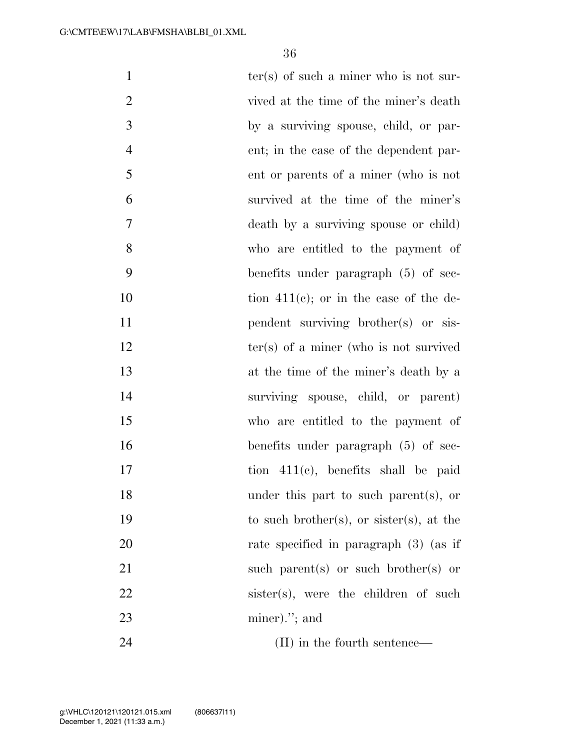| $\mathbf{1}$   | $ter(s)$ of such a miner who is not sur-  |
|----------------|-------------------------------------------|
| $\overline{2}$ | vived at the time of the miner's death    |
| 3              | by a surviving spouse, child, or par-     |
| $\overline{4}$ | ent; in the case of the dependent par-    |
| 5              | ent or parents of a miner (who is not     |
| 6              | survived at the time of the miner's       |
| 7              | death by a surviving spouse or child)     |
| 8              | who are entitled to the payment of        |
| 9              | benefits under paragraph $(5)$ of sec-    |
| 10             | tion $411(e)$ ; or in the case of the de- |
| 11             | pendent surviving brother(s) or sis-      |
| 12             | $ter(s)$ of a miner (who is not survived  |
| 13             | at the time of the miner's death by a     |
| 14             | surviving spouse, child, or parent)       |
| 15             | who are entitled to the payment of        |
| 16             | benefits under paragraph (5) of sec-      |
| 17             | tion $411(c)$ , benefits shall be paid    |
| 18             | under this part to such parent(s), or     |
| 19             | to such brother(s), or sister(s), at the  |
| 20             | rate specified in paragraph (3) (as if    |
| 21             | such parent(s) or such brother(s) or      |
| 22             | sister(s), were the children of such      |
| 23             | $miner$ ."; and                           |
| 24             | (II) in the fourth sentence—              |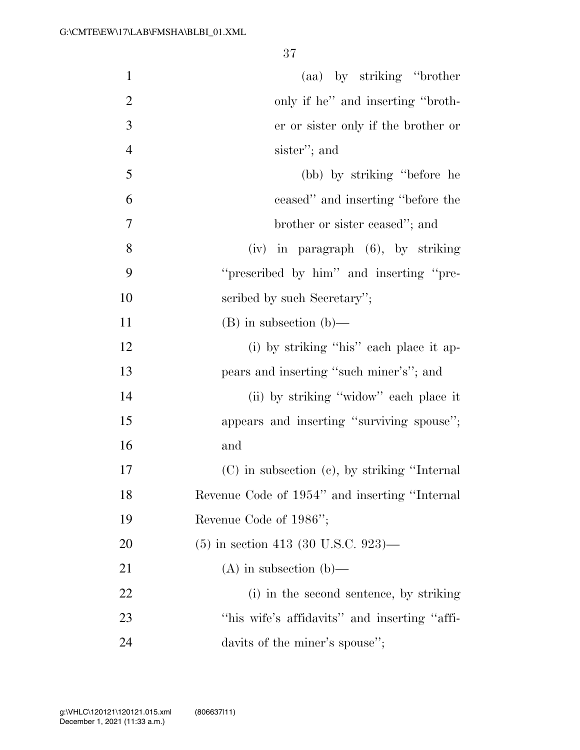| $\mathbf{1}$   | (aa) by striking "brother"                         |
|----------------|----------------------------------------------------|
| $\overline{2}$ | only if he" and inserting "broth-                  |
| 3              | er or sister only if the brother or                |
| $\overline{4}$ | sister"; and                                       |
| 5              | (bb) by striking "before he                        |
| 6              | ceased" and inserting "before the                  |
| $\tau$         | brother or sister ceased"; and                     |
| 8              | $(iv)$ in paragraph $(6)$ , by striking            |
| 9              | "prescribed by him" and inserting "pre-            |
| 10             | scribed by such Secretary";                        |
| 11             | $(B)$ in subsection $(b)$ —                        |
| 12             | (i) by striking "his" each place it ap-            |
| 13             | pears and inserting "such miner's"; and            |
| 14             | (ii) by striking "widow" each place it             |
| 15             | appears and inserting "surviving spouse";          |
| 16             | and                                                |
| 17             | $(C)$ in subsection $(e)$ , by striking "Internal" |
| 18             | Revenue Code of 1954" and inserting "Internal      |
| 19             | Revenue Code of 1986";                             |
| 20             | $(5)$ in section 413 (30 U.S.C. 923)—              |
| 21             | $(A)$ in subsection $(b)$ —                        |
| 22             | (i) in the second sentence, by striking            |
| 23             | "his wife's affidavits" and inserting "affi-       |
| 24             | davits of the miner's spouse";                     |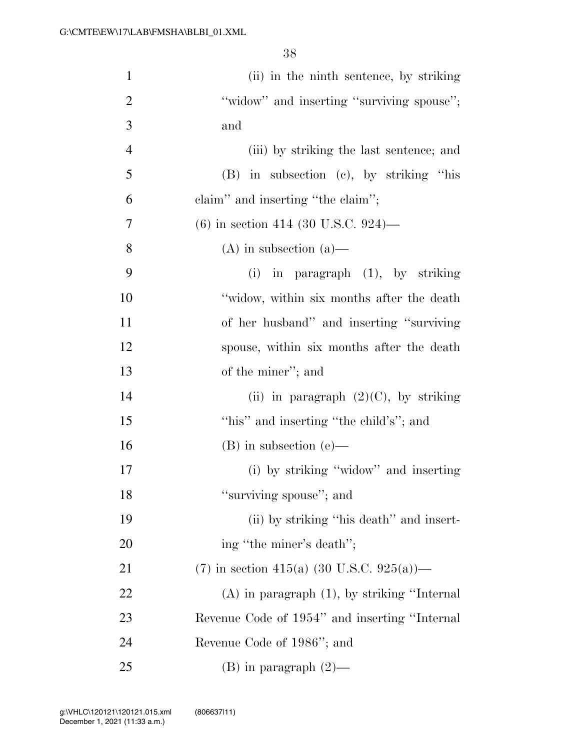| $\mathbf{1}$   | (ii) in the ninth sentence, by striking          |
|----------------|--------------------------------------------------|
| $\overline{2}$ | "widow" and inserting "surviving spouse";        |
| 3              | and                                              |
| $\overline{4}$ | (iii) by striking the last sentence; and         |
| 5              | $(B)$ in subsection $(c)$ , by striking "his     |
| 6              | claim" and inserting "the claim";                |
| 7              | $(6)$ in section 414 (30 U.S.C. 924)—            |
| 8              | $(A)$ in subsection $(a)$ —                      |
| 9              | (i) in paragraph $(1)$ , by striking             |
| 10             | "widow, within six months after the death        |
| 11             | of her husband" and inserting "surviving"        |
| 12             | spouse, within six months after the death        |
| 13             | of the miner"; and                               |
| 14             | (ii) in paragraph $(2)(C)$ , by striking         |
| 15             | "his" and inserting "the child's"; and           |
| 16             | $(B)$ in subsection $(e)$ —                      |
| 17             | (i) by striking "widow" and inserting            |
| 18             | "surviving spouse"; and                          |
| 19             | (ii) by striking "his death" and insert-         |
| 20             | ing "the miner's death";                         |
| 21             | (7) in section 415(a) (30 U.S.C. 925(a))—        |
| 22             | $(A)$ in paragraph $(1)$ , by striking "Internal |
| 23             | Revenue Code of 1954" and inserting "Internal    |
| 24             | Revenue Code of 1986"; and                       |
| 25             | (B) in paragraph $(2)$ —                         |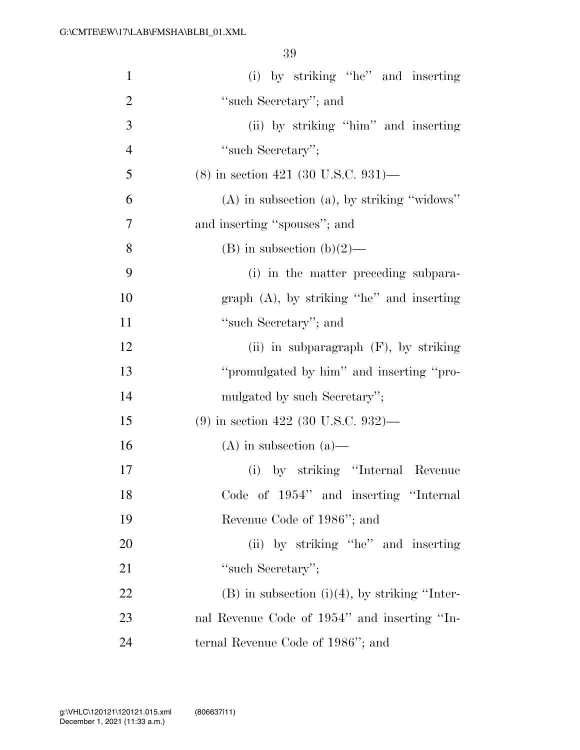| $\mathbf{1}$   | (i) by striking "he" and inserting                 |
|----------------|----------------------------------------------------|
| $\overline{2}$ | "such Secretary"; and                              |
| 3              | (ii) by striking "him" and inserting               |
| $\overline{4}$ | "such Secretary";                                  |
| 5              | $(8)$ in section 421 (30 U.S.C. 931)—              |
| 6              | $(A)$ in subsection $(a)$ , by striking "widows"   |
| 7              | and inserting "spouses"; and                       |
| 8              | (B) in subsection (b)(2)—                          |
| 9              | (i) in the matter preceding subpara-               |
| 10             | graph $(A)$ , by striking "he" and inserting       |
| 11             | "such Secretary"; and                              |
| 12             | (ii) in subparagraph $(F)$ , by striking           |
| 13             | "promulgated by him" and inserting "pro-           |
| 14             | mulgated by such Secretary";                       |
| 15             | $(9)$ in section 422 (30 U.S.C. 932)—              |
| 16             | $(A)$ in subsection $(a)$ —                        |
| 17             | (i) by striking "Internal Revenue                  |
| 18             | Code of 1954" and inserting "Internal              |
| 19             | Revenue Code of 1986"; and                         |
| 20             | (ii) by striking "he" and inserting                |
| 21             | "such Secretary";                                  |
| 22             | $(B)$ in subsection $(i)(4)$ , by striking "Inter- |
| 23             | nal Revenue Code of 1954" and inserting "In-       |
| 24             | ternal Revenue Code of 1986"; and                  |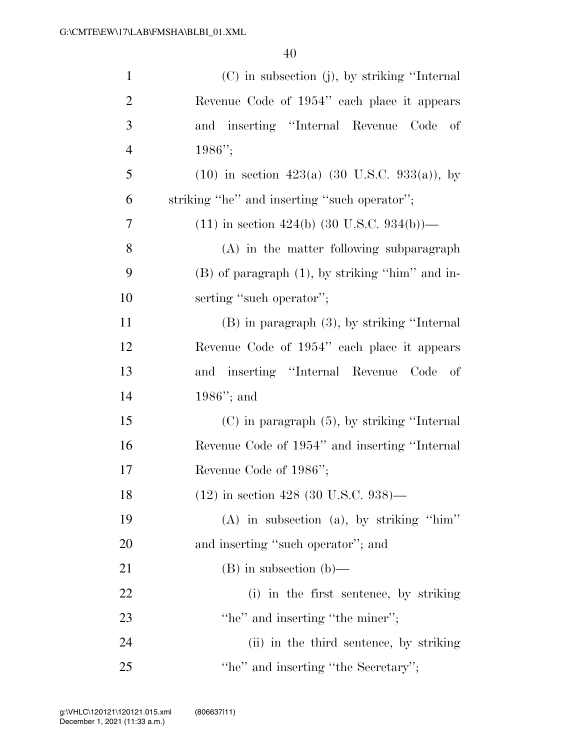| $\mathbf{1}$   | (C) in subsection (j), by striking "Internal             |
|----------------|----------------------------------------------------------|
| $\overline{2}$ | Revenue Code of 1954" each place it appears              |
| 3              | and inserting "Internal Revenue Code<br>of               |
| $\overline{4}$ | $1986"$ ;                                                |
| 5              | $(10)$ in section 423(a) (30 U.S.C. 933(a)), by          |
| 6              | striking "he" and inserting "such operator";             |
| 7              | $(11)$ in section 424(b) $(30 \text{ U.S.C. } 934(b))$ — |
| 8              | (A) in the matter following subparagraph                 |
| 9              | $(B)$ of paragraph $(1)$ , by striking "him" and in-     |
| 10             | serting "such operator";                                 |
| 11             | $(B)$ in paragraph $(3)$ , by striking "Internal         |
| 12             | Revenue Code of 1954" each place it appears              |
| 13             | and inserting "Internal Revenue Code<br>of               |
| 14             | $1986$ "; and                                            |
| 15             | $(C)$ in paragraph $(5)$ , by striking "Internal"        |
| 16             | Revenue Code of 1954" and inserting "Internal            |
| 17             | Revenue Code of 1986";                                   |
| 18             | $(12)$ in section 428 (30 U.S.C. 938)—                   |
| 19             | $(A)$ in subsection $(a)$ , by striking "him"            |
| <b>20</b>      | and inserting "such operator"; and                       |
| 21             | $(B)$ in subsection $(b)$ —                              |
| 22             | (i) in the first sentence, by striking                   |
| 23             | "he" and inserting "the miner";                          |
| 24             | (ii) in the third sentence, by striking                  |
| 25             | "he" and inserting "the Secretary";                      |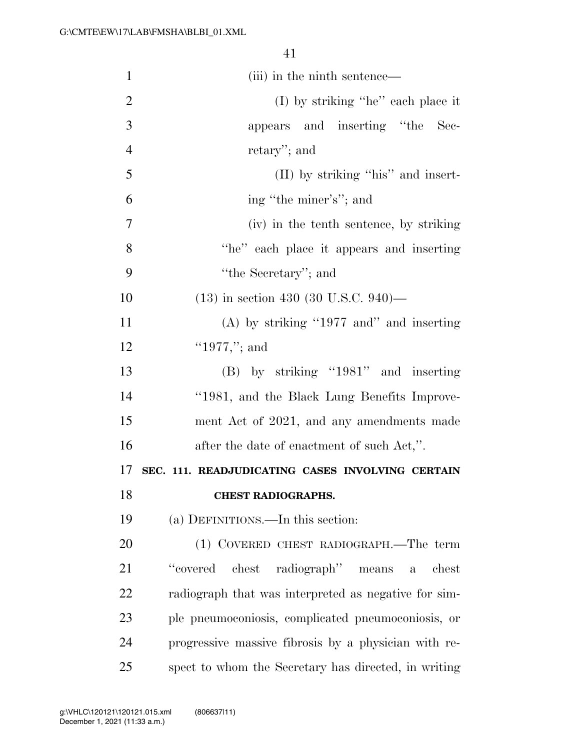| $\mathbf{1}$   | (iii) in the ninth sentence—                                  |
|----------------|---------------------------------------------------------------|
| $\overline{2}$ | $(I)$ by striking "he" each place it                          |
| 3              | appears and inserting "the Sec-                               |
| $\overline{4}$ | retary"; and                                                  |
| 5              | (II) by striking "his" and insert-                            |
| 6              | ing "the miner's"; and                                        |
| 7              | (iv) in the tenth sentence, by striking                       |
| 8              | "he" each place it appears and inserting                      |
| 9              | "the Secretary"; and                                          |
| 10             | $(13)$ in section 430 (30 U.S.C. 940)—                        |
| 11             | $(A)$ by striking "1977 and" and inserting                    |
| 12             | "1977,"; and                                                  |
| 13             | (B) by striking "1981" and inserting                          |
| 14             | "1981, and the Black Lung Benefits Improve-                   |
| 15             | ment Act of 2021, and any amendments made                     |
| 16             | after the date of enactment of such Act,".                    |
| 17             | SEC. 111. READJUDICATING CASES INVOLVING CERTAIN              |
| 18             | <b>CHEST RADIOGRAPHS.</b>                                     |
| 19             | (a) DEFINITIONS.—In this section:                             |
| 20             | (1) COVERED CHEST RADIOGRAPH.—The term                        |
| 21             | "covered"<br>chest radiograph" means<br>chest<br>$\mathbf{a}$ |
| 22             | radiograph that was interpreted as negative for sim-          |
| 23             | ple pneumoconiosis, complicated pneumoconiosis, or            |
| 24             | progressive massive fibrosis by a physician with re-          |
| 25             | spect to whom the Secretary has directed, in writing          |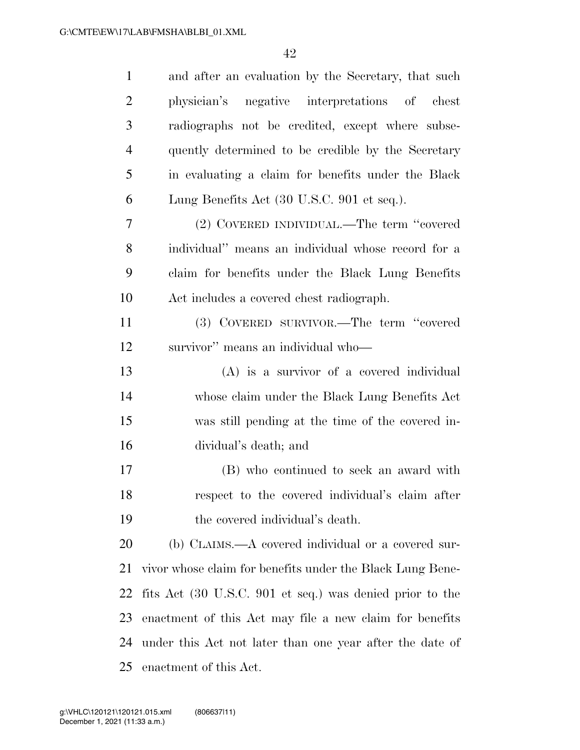| $\mathbf{1}$   | and after an evaluation by the Secretary, that such       |
|----------------|-----------------------------------------------------------|
| $\overline{2}$ | physician's negative interpretations of chest             |
| 3              | radiographs not be credited, except where subse-          |
| $\overline{4}$ | quently determined to be credible by the Secretary        |
| 5              | in evaluating a claim for benefits under the Black        |
| 6              | Lung Benefits Act (30 U.S.C. 901 et seq.).                |
| 7              | (2) COVERED INDIVIDUAL.—The term "covered                 |
| 8              | individual" means an individual whose record for a        |
| 9              | claim for benefits under the Black Lung Benefits          |
| 10             | Act includes a covered chest radiograph.                  |
| 11             | (3) COVERED SURVIVOR.—The term "covered                   |
| 12             | survivor" means an individual who-                        |
| 13             | $(A)$ is a survivor of a covered individual               |
| 14             | whose claim under the Black Lung Benefits Act             |
| 15             | was still pending at the time of the covered in-          |
| 16             | dividual's death; and                                     |
| 17             | (B) who continued to seek an award with                   |
| 18             | respect to the covered individual's claim after           |
| 19             | the covered individual's death.                           |
| 20             | (b) CLAIMS.—A covered individual or a covered sur-        |
| 21             | vivor whose claim for benefits under the Black Lung Bene- |
| 22             | fits Act (30 U.S.C. 901 et seq.) was denied prior to the  |
| 23             | enactment of this Act may file a new claim for benefits   |
| 24             | under this Act not later than one year after the date of  |
| 25             | enactment of this Act.                                    |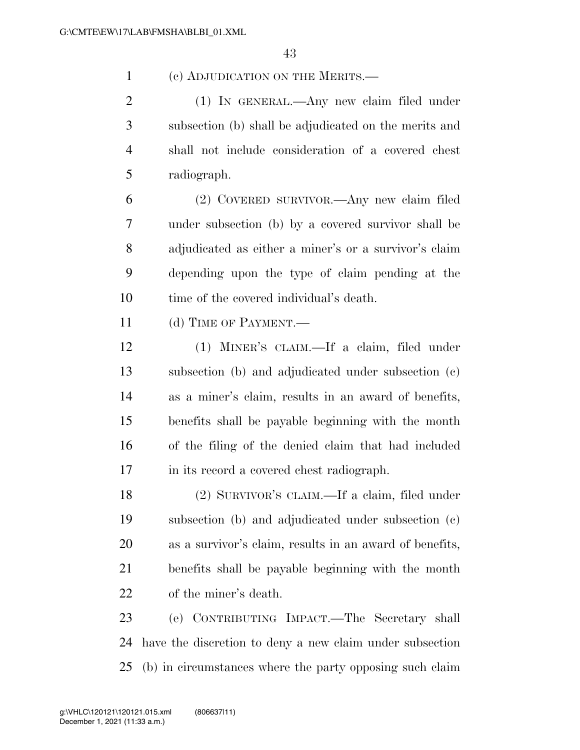(c) ADJUDICATION ON THE MERITS.—

 (1) IN GENERAL.—Any new claim filed under subsection (b) shall be adjudicated on the merits and shall not include consideration of a covered chest radiograph.

 (2) COVERED SURVIVOR.—Any new claim filed under subsection (b) by a covered survivor shall be adjudicated as either a miner's or a survivor's claim depending upon the type of claim pending at the time of the covered individual's death.

(d) TIME OF PAYMENT.—

 (1) MINER'S CLAIM.—If a claim, filed under subsection (b) and adjudicated under subsection (c) as a miner's claim, results in an award of benefits, benefits shall be payable beginning with the month of the filing of the denied claim that had included in its record a covered chest radiograph.

 (2) SURVIVOR'S CLAIM.—If a claim, filed under subsection (b) and adjudicated under subsection (c) as a survivor's claim, results in an award of benefits, benefits shall be payable beginning with the month of the miner's death.

 (e) CONTRIBUTING IMPACT.—The Secretary shall have the discretion to deny a new claim under subsection (b) in circumstances where the party opposing such claim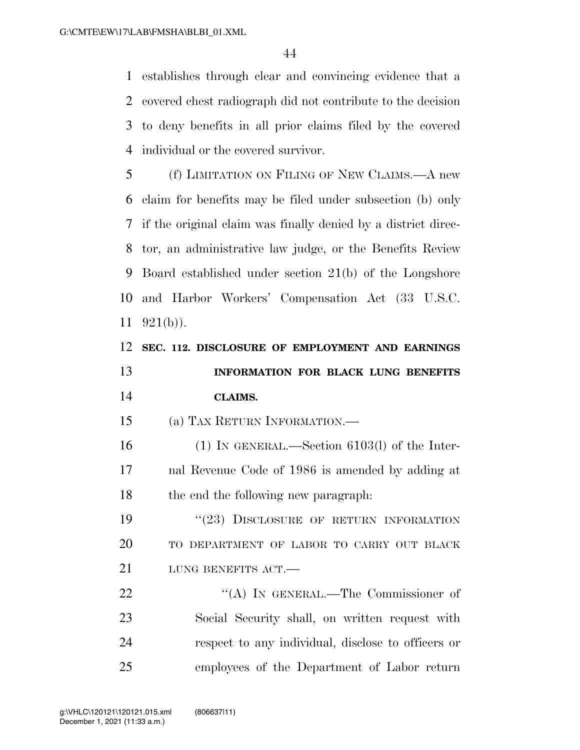establishes through clear and convincing evidence that a covered chest radiograph did not contribute to the decision to deny benefits in all prior claims filed by the covered individual or the covered survivor.

 (f) LIMITATION ON FILING OF NEW CLAIMS.—A new claim for benefits may be filed under subsection (b) only if the original claim was finally denied by a district direc- tor, an administrative law judge, or the Benefits Review Board established under section 21(b) of the Longshore and Harbor Workers' Compensation Act (33 U.S.C.  $11 \quad 921(b)$ ).

|    | 12 SEC. 112. DISCLOSURE OF EMPLOYMENT AND EARNINGS |  |  |
|----|----------------------------------------------------|--|--|
| 13 | INFORMATION FOR BLACK LUNG BENEFITS                |  |  |
| 14 | CLAIMS.                                            |  |  |

(a) TAX RETURN INFORMATION.—

 (1) IN GENERAL.—Section 6103(l) of the Inter- nal Revenue Code of 1986 is amended by adding at the end the following new paragraph:

19 "(23) DISCLOSURE OF RETURN INFORMATION TO DEPARTMENT OF LABOR TO CARRY OUT BLACK 21 LUNG BENEFITS ACT.

22 "'(A) IN GENERAL.—The Commissioner of Social Security shall, on written request with respect to any individual, disclose to officers or employees of the Department of Labor return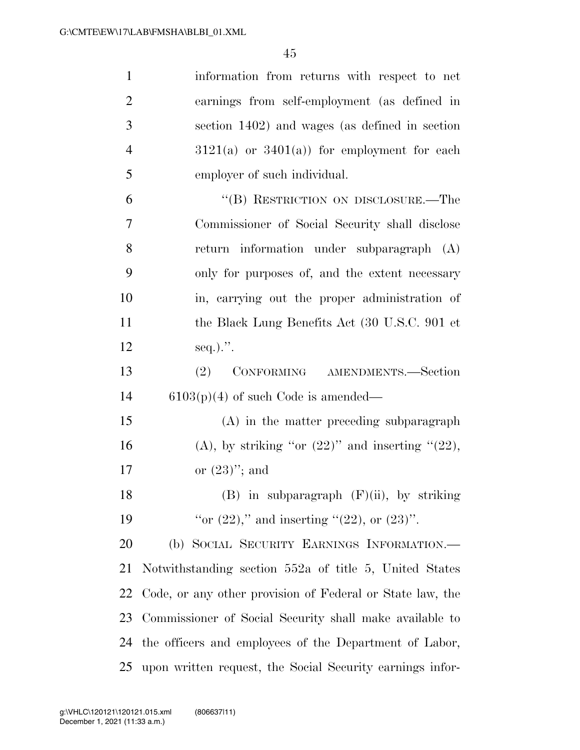| $\mathbf{1}$   | information from returns with respect to net              |
|----------------|-----------------------------------------------------------|
| $\overline{2}$ | earnings from self-employment (as defined in              |
| 3              | section 1402) and wages (as defined in section            |
| $\overline{4}$ | $3121(a)$ or $3401(a)$ for employment for each            |
| 5              | employer of such individual.                              |
| 6              | "(B) RESTRICTION ON DISCLOSURE.—The                       |
| $\tau$         | Commissioner of Social Security shall disclose            |
| 8              | return information under subparagraph (A)                 |
| 9              | only for purposes of, and the extent necessary            |
| 10             | in, carrying out the proper administration of             |
| 11             | the Black Lung Benefits Act (30 U.S.C. 901 et             |
| 12             | $seq.$                                                    |
| 13             | CONFORMING AMENDMENTS.-Section<br>(2)                     |
| 14             | $6103(p)(4)$ of such Code is amended—                     |
| 15             | (A) in the matter preceding subparagraph                  |
| 16             | (A), by striking "or $(22)$ " and inserting " $(22)$ ,    |
| 17             | or $(23)$ "; and                                          |
| 18             | $(B)$ in subparagraph $(F)(ii)$ , by striking             |
| 19             | "or $(22)$ ," and inserting " $(22)$ , or $(23)$ ".       |
| 20             | (b) SOCIAL SECURITY EARNINGS INFORMATION.—                |
| 21             | Notwithstanding section 552a of title 5, United States    |
| 22             | Code, or any other provision of Federal or State law, the |
| 23             | Commissioner of Social Security shall make available to   |
| 24             | the officers and employees of the Department of Labor,    |
| 25             | upon written request, the Social Security earnings infor- |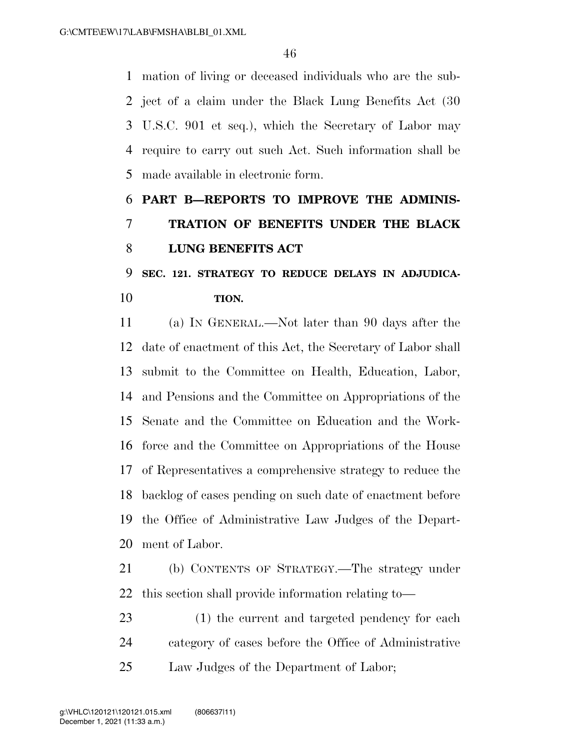mation of living or deceased individuals who are the sub- ject of a claim under the Black Lung Benefits Act (30 U.S.C. 901 et seq.), which the Secretary of Labor may require to carry out such Act. Such information shall be made available in electronic form.

# **PART B—REPORTS TO IMPROVE THE ADMINIS- TRATION OF BENEFITS UNDER THE BLACK LUNG BENEFITS ACT**

# **SEC. 121. STRATEGY TO REDUCE DELAYS IN ADJUDICA-TION.**

 (a) IN GENERAL.—Not later than 90 days after the date of enactment of this Act, the Secretary of Labor shall submit to the Committee on Health, Education, Labor, and Pensions and the Committee on Appropriations of the Senate and the Committee on Education and the Work- force and the Committee on Appropriations of the House of Representatives a comprehensive strategy to reduce the backlog of cases pending on such date of enactment before the Office of Administrative Law Judges of the Depart-ment of Labor.

 (b) CONTENTS OF STRATEGY.—The strategy under this section shall provide information relating to—

 (1) the current and targeted pendency for each category of cases before the Office of Administrative Law Judges of the Department of Labor;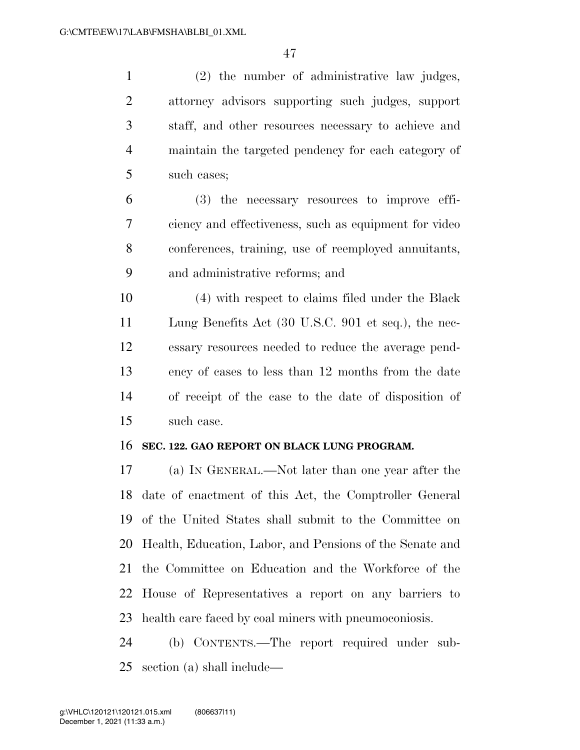(2) the number of administrative law judges, attorney advisors supporting such judges, support staff, and other resources necessary to achieve and maintain the targeted pendency for each category of such cases;

 (3) the necessary resources to improve effi- ciency and effectiveness, such as equipment for video conferences, training, use of reemployed annuitants, and administrative reforms; and

 (4) with respect to claims filed under the Black Lung Benefits Act (30 U.S.C. 901 et seq.), the nec- essary resources needed to reduce the average pend- ency of cases to less than 12 months from the date of receipt of the case to the date of disposition of such case.

### **SEC. 122. GAO REPORT ON BLACK LUNG PROGRAM.**

 (a) IN GENERAL.—Not later than one year after the date of enactment of this Act, the Comptroller General of the United States shall submit to the Committee on Health, Education, Labor, and Pensions of the Senate and the Committee on Education and the Workforce of the House of Representatives a report on any barriers to health care faced by coal miners with pneumoconiosis.

 (b) CONTENTS.—The report required under sub-section (a) shall include—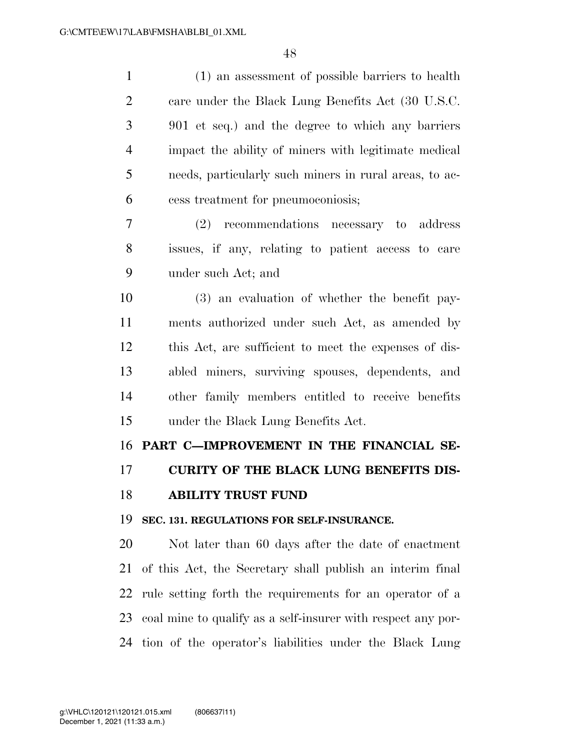| $\mathbf{1}$   | (1) an assessment of possible barriers to health             |
|----------------|--------------------------------------------------------------|
| $\overline{2}$ | care under the Black Lung Benefits Act (30 U.S.C.            |
| 3              | 901 et seq.) and the degree to which any barriers            |
| $\overline{4}$ | impact the ability of miners with legitimate medical         |
| 5              | needs, particularly such miners in rural areas, to ac-       |
| 6              | cess treatment for pneumoconiosis;                           |
| 7              | (2) recommendations necessary to address                     |
| 8              | issues, if any, relating to patient access to care           |
| 9              | under such Act; and                                          |
| 10             | (3) an evaluation of whether the benefit pay-                |
| 11             | ments authorized under such Act, as amended by               |
| 12             | this Act, are sufficient to meet the expenses of dis-        |
| 13             | abled miners, surviving spouses, dependents, and             |
| 14             | other family members entitled to receive benefits            |
| 15             | under the Black Lung Benefits Act.                           |
| 16             | PART C-IMPROVEMENT IN THE FINANCIAL SE-                      |
| 17             | <b>CURITY OF THE BLACK LUNG BENEFITS DIS-</b>                |
| 18             | <b>ABILITY TRUST FUND</b>                                    |
| 19             | SEC. 131. REGULATIONS FOR SELF-INSURANCE.                    |
| 20             | Not later than 60 days after the date of enactment           |
| 21             | of this Act, the Secretary shall publish an interim final    |
| 22             | rule setting forth the requirements for an operator of a     |
| 23             | coal mine to qualify as a self-insurer with respect any por- |
| 24             | tion of the operator's liabilities under the Black Lung      |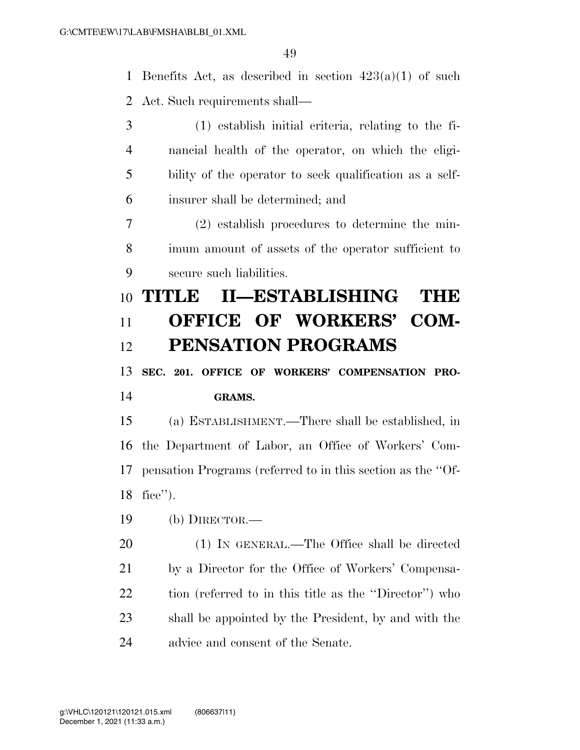1 Benefits Act, as described in section  $423(a)(1)$  of such Act. Such requirements shall—

 (1) establish initial criteria, relating to the fi- nancial health of the operator, on which the eligi- bility of the operator to seek qualification as a self- insurer shall be determined; and (2) establish procedures to determine the min- imum amount of assets of the operator sufficient to secure such liabilities. **TITLE II—ESTABLISHING THE OFFICE OF WORKERS' COM- PENSATION PROGRAMS SEC. 201. OFFICE OF WORKERS' COMPENSATION PRO- GRAMS.**  (a) ESTABLISHMENT.—There shall be established, in the Department of Labor, an Office of Workers' Com- pensation Programs (referred to in this section as the ''Of- fice''). (b) DIRECTOR.— (1) IN GENERAL.—The Office shall be directed by a Director for the Office of Workers' Compensa-tion (referred to in this title as the ''Director'') who

 shall be appointed by the President, by and with the advice and consent of the Senate.